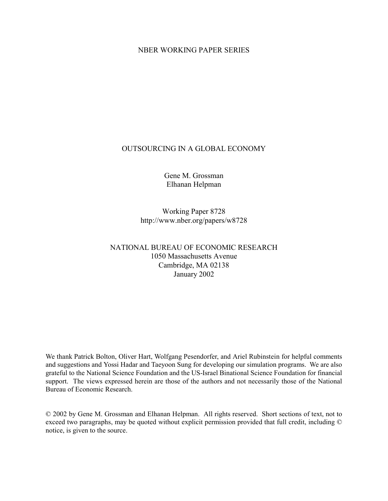### NBER WORKING PAPER SERIES

#### OUTSOURCING IN A GLOBAL ECONOMY

Gene M. Grossman Elhanan Helpman

Working Paper 8728 http://www.nber.org/papers/w8728

### NATIONAL BUREAU OF ECONOMIC RESEARCH 1050 Massachusetts Avenue Cambridge, MA 02138 January 2002

We thank Patrick Bolton, Oliver Hart, Wolfgang Pesendorfer, and Ariel Rubinstein for helpful comments and suggestions and Yossi Hadar and Taeyoon Sung for developing our simulation programs. We are also grateful to the National Science Foundation and the US-Israel Binational Science Foundation for financial support. The views expressed herein are those of the authors and not necessarily those of the National Bureau of Economic Research.

© 2002 by Gene M. Grossman and Elhanan Helpman. All rights reserved. Short sections of text, not to exceed two paragraphs, may be quoted without explicit permission provided that full credit, including © notice, is given to the source.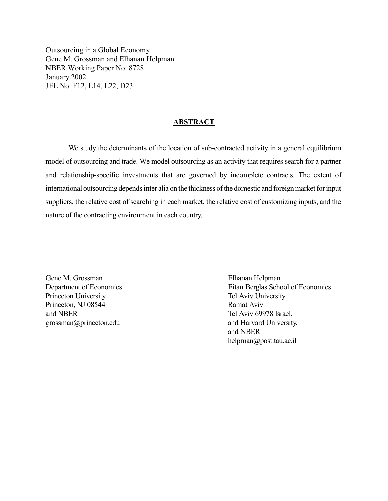Outsourcing in a Global Economy Gene M. Grossman and Elhanan Helpman NBER Working Paper No. 8728 January 2002 JEL No. F12, L14, L22, D23

#### **ABSTRACT**

We study the determinants of the location of sub-contracted activity in a general equilibrium model of outsourcing and trade. We model outsourcing as an activity that requires search for a partner and relationship-specific investments that are governed by incomplete contracts. The extent of international outsourcing depends inter alia on the thickness of the domestic and foreign market for input suppliers, the relative cost of searching in each market, the relative cost of customizing inputs, and the nature of the contracting environment in each country.

Gene M. Grossman **Elhanan Helpman** Princeton University Tel Aviv University Princeton, NJ 08544 Ramat Aviv and NBER Tel Aviv 69978 Israel, grossman@princeton.edu and Harvard University,

Department of Economics Eitan Berglas School of Economics and NBER helpman@post.tau.ac.il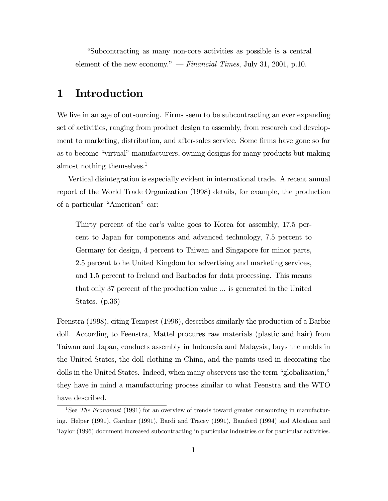"Subcontracting as many non-core activities as possible is a central element of the new economy."  $-$  Financial Times, July 31, 2001, p.10.

## 1 Introduction

We live in an age of outsourcing. Firms seem to be subcontracting an ever expanding set of activities, ranging from product design to assembly, from research and development to marketing, distribution, and after-sales service. Some firms have gone so far as to become "virtual" manufacturers, owning designs for many products but making almost nothing themselves.<sup>1</sup>

Vertical disintegration is especially evident in international trade. A recent annual report of the World Trade Organization (1998) details, for example, the production of a particular "American" car:

Thirty percent of the car's value goes to Korea for assembly, 17.5 percent to Japan for components and advanced technology, 7.5 percent to Germany for design, 4 percent to Taiwan and Singapore for minor parts, 2.5 percent to he United Kingdom for advertising and marketing services, and 1.5 percent to Ireland and Barbados for data processing. This means that only 37 percent of the production value ... is generated in the United States. (p.36)

Feenstra (1998), citing Tempest (1996), describes similarly the production of a Barbie doll. According to Feenstra, Mattel procures raw materials (plastic and hair) from Taiwan and Japan, conducts assembly in Indonesia and Malaysia, buys the molds in the United States, the doll clothing in China, and the paints used in decorating the dolls in the United States. Indeed, when many observers use the term "globalization," they have in mind a manufacturing process similar to what Feenstra and the WTO have described.

<sup>&</sup>lt;sup>1</sup>See The Economist (1991) for an overview of trends toward greater outsourcing in manufacturing. Helper (1991), Gardner (1991), Bardi and Tracey (1991), Bamford (1994) and Abraham and Taylor (1996) document increased subcontracting in particular industries or for particular activities.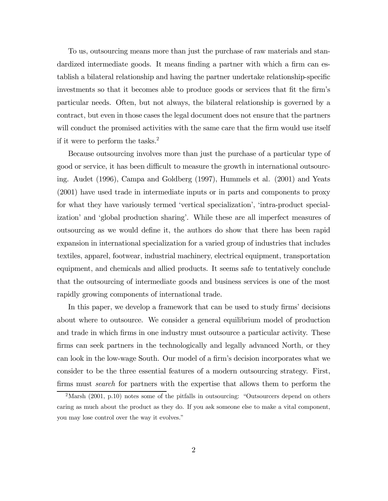To us, outsourcing means more than just the purchase of raw materials and standardized intermediate goods. It means finding a partner with which a firm can establish a bilateral relationship and having the partner undertake relationship-specific investments so that it becomes able to produce goods or services that fit the firm's particular needs. Often, but not always, the bilateral relationship is governed by a contract, but even in those cases the legal document does not ensure that the partners will conduct the promised activities with the same care that the firm would use itself if it were to perform the tasks.<sup>2</sup>

Because outsourcing involves more than just the purchase of a particular type of good or service, it has been difficult to measure the growth in international outsourcing. Audet (1996), Campa and Goldberg (1997), Hummels et al. (2001) and Yeats (2001) have used trade in intermediate inputs or in parts and components to proxy for what they have variously termed 'vertical specialization', 'intra-product specialization' and 'global production sharing'. While these are all imperfect measures of outsourcing as we would define it, the authors do show that there has been rapid expansion in international specialization for a varied group of industries that includes textiles, apparel, footwear, industrial machinery, electrical equipment, transportation equipment, and chemicals and allied products. It seems safe to tentatively conclude that the outsourcing of intermediate goods and business services is one of the most rapidly growing components of international trade.

In this paper, we develop a framework that can be used to study firms' decisions about where to outsource. We consider a general equilibrium model of production and trade in which firms in one industry must outsource a particular activity. These firms can seek partners in the technologically and legally advanced North, or they can look in the low-wage South. Our model of a firm's decision incorporates what we consider to be the three essential features of a modern outsourcing strategy. First, firms must search for partners with the expertise that allows them to perform the

<sup>&</sup>lt;sup>2</sup>Marsh (2001, p.10) notes some of the pitfalls in outsourcing: "Outsourcers depend on others caring as much about the product as they do. If you ask someone else to make a vital component, you may lose control over the way it evolves."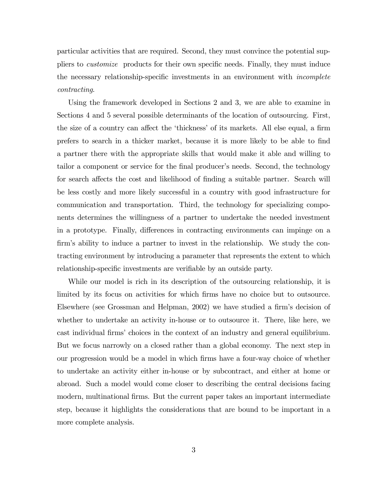particular activities that are required. Second, they must convince the potential suppliers to customize products for their own specific needs. Finally, they must induce the necessary relationship-specific investments in an environment with incomplete contracting.

Using the framework developed in Sections 2 and 3, we are able to examine in Sections 4 and 5 several possible determinants of the location of outsourcing. First, the size of a country can affect the 'thickness' of its markets. All else equal, a firm prefers to search in a thicker market, because it is more likely to be able to find a partner there with the appropriate skills that would make it able and willing to tailor a component or service for the final producer's needs. Second, the technology for search affects the cost and likelihood of finding a suitable partner. Search will be less costly and more likely successful in a country with good infrastructure for communication and transportation. Third, the technology for specializing components determines the willingness of a partner to undertake the needed investment in a prototype. Finally, differences in contracting environments can impinge on a firm's ability to induce a partner to invest in the relationship. We study the contracting environment by introducing a parameter that represents the extent to which relationship-specific investments are verifiable by an outside party.

While our model is rich in its description of the outsourcing relationship, it is limited by its focus on activities for which firms have no choice but to outsource. Elsewhere (see Grossman and Helpman, 2002) we have studied a firm's decision of whether to undertake an activity in-house or to outsource it. There, like here, we cast individual firms' choices in the context of an industry and general equilibrium. But we focus narrowly on a closed rather than a global economy. The next step in our progression would be a model in which firms have a four-way choice of whether to undertake an activity either in-house or by subcontract, and either at home or abroad. Such a model would come closer to describing the central decisions facing modern, multinational firms. But the current paper takes an important intermediate step, because it highlights the considerations that are bound to be important in a more complete analysis.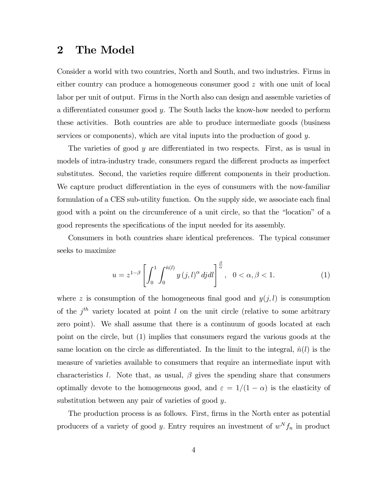## 2 The Model

Consider a world with two countries, North and South, and two industries. Firms in either country can produce a homogeneous consumer good z with one unit of local labor per unit of output. Firms in the North also can design and assemble varieties of a differentiated consumer good y. The South lacks the know-how needed to perform these activities. Both countries are able to produce intermediate goods (business services or components), which are vital inputs into the production of good  $y$ .

The varieties of good y are differentiated in two respects. First, as is usual in models of intra-industry trade, consumers regard the different products as imperfect substitutes. Second, the varieties require different components in their production. We capture product differentiation in the eyes of consumers with the now-familiar formulation of a CES sub-utility function. On the supply side, we associate each final good with a point on the circumference of a unit circle, so that the "location" of a good represents the specifications of the input needed for its assembly.

Consumers in both countries share identical preferences. The typical consumer seeks to maximize

$$
u = z^{1-\beta} \left[ \int_0^1 \int_0^{\hat{n}(l)} y(j,l)^\alpha \, dj \, dl \right]^\frac{\beta}{\alpha}, \quad 0 < \alpha, \beta < 1. \tag{1}
$$

where z is consumption of the homogeneous final good and  $y(j, l)$  is consumption of the  $j<sup>th</sup>$  variety located at point l on the unit circle (relative to some arbitrary zero point). We shall assume that there is a continuum of goods located at each point on the circle, but (1) implies that consumers regard the various goods at the same location on the circle as differentiated. In the limit to the integral,  $\hat{n}(l)$  is the measure of varieties available to consumers that require an intermediate input with characteristics l. Note that, as usual,  $\beta$  gives the spending share that consumers optimally devote to the homogeneous good, and  $\varepsilon = 1/(1 - \alpha)$  is the elasticity of substitution between any pair of varieties of good y.

The production process is as follows. First, firms in the North enter as potential producers of a variety of good y. Entry requires an investment of  $w^N f_n$  in product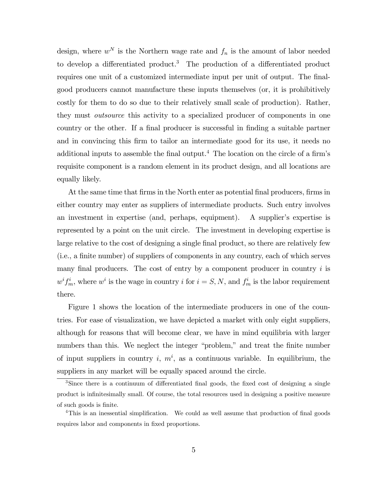design, where  $w^N$  is the Northern wage rate and  $f_n$  is the amount of labor needed to develop a differentiated product.<sup>3</sup> The production of a differentiated product requires one unit of a customized intermediate input per unit of output. The finalgood producers cannot manufacture these inputs themselves (or, it is prohibitively costly for them to do so due to their relatively small scale of production). Rather, they must *outsource* this activity to a specialized producer of components in one country or the other. If a final producer is successful in finding a suitable partner and in convincing this firm to tailor an intermediate good for its use, it needs no additional inputs to assemble the final output.<sup>4</sup> The location on the circle of a firm's requisite component is a random element in its product design, and all locations are equally likely.

At the same time that firms in the North enter as potential final producers, firms in either country may enter as suppliers of intermediate products. Such entry involves an investment in expertise (and, perhaps, equipment). A supplier's expertise is represented by a point on the unit circle. The investment in developing expertise is large relative to the cost of designing a single final product, so there are relatively few (i.e., a finite number) of suppliers of components in any country, each of which serves many final producers. The cost of entry by a component producer in country  $i$  is  $w^{i} f_{m}^{i}$ , where  $w^{i}$  is the wage in country i for  $i = S, N$ , and  $f_{m}^{i}$  is the labor requirement there.

Figure 1 shows the location of the intermediate producers in one of the countries. For ease of visualization, we have depicted a market with only eight suppliers, although for reasons that will become clear, we have in mind equilibria with larger numbers than this. We neglect the integer "problem," and treat the finite number of input suppliers in country i,  $m^i$ , as a continuous variable. In equilibrium, the suppliers in any market will be equally spaced around the circle.

<sup>&</sup>lt;sup>3</sup>Since there is a continuum of differentiated final goods, the fixed cost of designing a single product is infinitesimally small. Of course, the total resources used in designing a positive measure of such goods is finite.

<sup>&</sup>lt;sup>4</sup>This is an inessential simplification. We could as well assume that production of final goods requires labor and components in fixed proportions.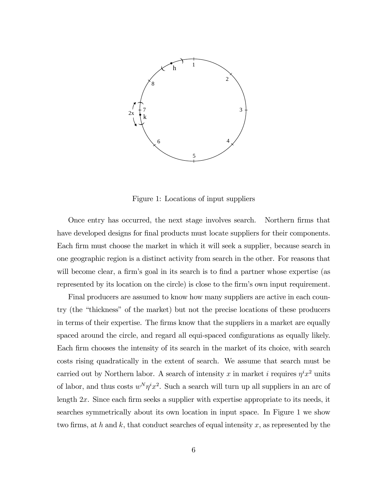

Figure 1: Locations of input suppliers

Once entry has occurred, the next stage involves search. Northern firms that have developed designs for final products must locate suppliers for their components. Each firm must choose the market in which it will seek a supplier, because search in one geographic region is a distinct activity from search in the other. For reasons that will become clear, a firm's goal in its search is to find a partner whose expertise (as represented by its location on the circle) is close to the firm's own input requirement.

Final producers are assumed to know how many suppliers are active in each country (the "thickness" of the market) but not the precise locations of these producers in terms of their expertise. The firms know that the suppliers in a market are equally spaced around the circle, and regard all equi-spaced configurations as equally likely. Each firm chooses the intensity of its search in the market of its choice, with search costs rising quadratically in the extent of search. We assume that search must be carried out by Northern labor. A search of intensity x in market i requires  $\eta^i x^2$  units of labor, and thus costs  $w^N \eta^i x^2$ . Such a search will turn up all suppliers in an arc of length 2x. Since each firm seeks a supplier with expertise appropriate to its needs, it searches symmetrically about its own location in input space. In Figure 1 we show two firms, at h and k, that conduct searches of equal intensity x, as represented by the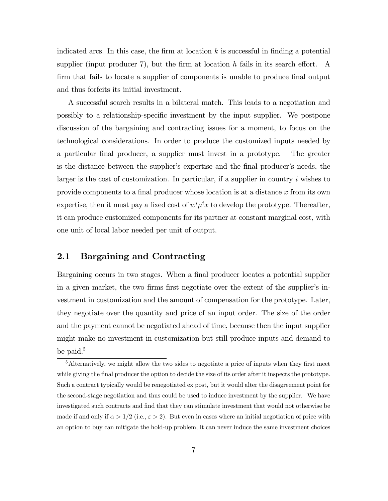indicated arcs. In this case, the firm at location  $k$  is successful in finding a potential supplier (input producer 7), but the firm at location h fails in its search effort. A firm that fails to locate a supplier of components is unable to produce final output and thus forfeits its initial investment.

A successful search results in a bilateral match. This leads to a negotiation and possibly to a relationship-specific investment by the input supplier. We postpone discussion of the bargaining and contracting issues for a moment, to focus on the technological considerations. In order to produce the customized inputs needed by a particular final producer, a supplier must invest in a prototype. The greater is the distance between the supplier's expertise and the final producer's needs, the larger is the cost of customization. In particular, if a supplier in country  $i$  wishes to provide components to a final producer whose location is at a distance  $x$  from its own expertise, then it must pay a fixed cost of  $w^i \mu^i x$  to develop the prototype. Thereafter, it can produce customized components for its partner at constant marginal cost, with one unit of local labor needed per unit of output.

#### 2.1 Bargaining and Contracting

Bargaining occurs in two stages. When a final producer locates a potential supplier in a given market, the two firms first negotiate over the extent of the supplier's investment in customization and the amount of compensation for the prototype. Later, they negotiate over the quantity and price of an input order. The size of the order and the payment cannot be negotiated ahead of time, because then the input supplier might make no investment in customization but still produce inputs and demand to be paid. $5$ 

<sup>&</sup>lt;sup>5</sup>Alternatively, we might allow the two sides to negotiate a price of inputs when they first meet while giving the final producer the option to decide the size of its order after it inspects the prototype. Such a contract typically would be renegotiated ex post, but it would alter the disagreement point for the second-stage negotiation and thus could be used to induce investment by the supplier. We have investigated such contracts and find that they can stimulate investment that would not otherwise be made if and only if  $\alpha > 1/2$  (i.e.,  $\varepsilon > 2$ ). But even in cases where an initial negotiation of price with an option to buy can mitigate the hold-up problem, it can never induce the same investment choices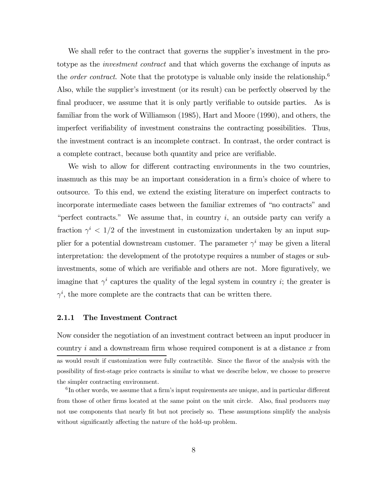We shall refer to the contract that governs the supplier's investment in the prototype as the investment contract and that which governs the exchange of inputs as the *order contract*. Note that the prototype is valuable only inside the relationship.<sup>6</sup> Also, while the supplier's investment (or its result) can be perfectly observed by the final producer, we assume that it is only partly verifiable to outside parties. As is familiar from the work of Williamson (1985), Hart and Moore (1990), and others, the imperfect verifiability of investment constrains the contracting possibilities. Thus, the investment contract is an incomplete contract. In contrast, the order contract is a complete contract, because both quantity and price are verifiable.

We wish to allow for different contracting environments in the two countries, inasmuch as this may be an important consideration in a firm's choice of where to outsource. To this end, we extend the existing literature on imperfect contracts to incorporate intermediate cases between the familiar extremes of "no contracts" and "perfect contracts." We assume that, in country  $i$ , an outside party can verify a fraction  $\gamma^{i}$  < 1/2 of the investment in customization undertaken by an input supplier for a potential downstream customer. The parameter  $\gamma^i$  may be given a literal interpretation: the development of the prototype requires a number of stages or subinvestments, some of which are verifiable and others are not. More figuratively, we imagine that  $\gamma^i$  captures the quality of the legal system in country *i*; the greater is  $\gamma^i$ , the more complete are the contracts that can be written there.

#### 2.1.1 The Investment Contract

Now consider the negotiation of an investment contract between an input producer in country i and a downstream firm whose required component is at a distance x from as would result if customization were fully contractible. Since the flavor of the analysis with the possibility of first-stage price contracts is similar to what we describe below, we choose to preserve the simpler contracting environment.

 ${}^{6}$ In other words, we assume that a firm's input requirements are unique, and in particular different from those of other firms located at the same point on the unit circle. Also, final producers may not use components that nearly fit but not precisely so. These assumptions simplify the analysis without significantly affecting the nature of the hold-up problem.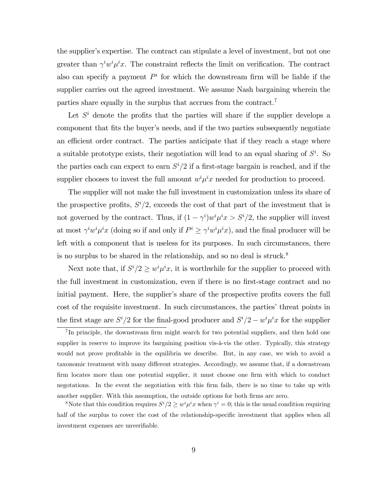the supplier's expertise. The contract can stipulate a level of investment, but not one greater than  $\gamma^i w^i \mu^i x$ . The constraint reflects the limit on verification. The contract also can specify a payment  $P^i$  for which the downstream firm will be liable if the supplier carries out the agreed investment. We assume Nash bargaining wherein the parties share equally in the surplus that accrues from the contract.<sup>7</sup>

Let  $S<sup>i</sup>$  denote the profits that the parties will share if the supplier develops a component that fits the buyer's needs, and if the two parties subsequently negotiate an efficient order contract. The parties anticipate that if they reach a stage where a suitable prototype exists, their negotiation will lead to an equal sharing of  $S<sup>i</sup>$ . So the parties each can expect to earn  $S^{i}/2$  if a first-stage bargain is reached, and if the supplier chooses to invest the full amount  $w^i \mu^i x$  needed for production to proceed.

The supplier will not make the full investment in customization unless its share of the prospective profits,  $S^{i}/2$ , exceeds the cost of that part of the investment that is not governed by the contract. Thus, if  $(1 - \gamma^i) w^i \mu^i x > S^i/2$ , the supplier will invest at most  $\gamma^i w^i \mu^i x$  (doing so if and only if  $P^i \geq \gamma^i w^i \mu^i x$ ), and the final producer will be left with a component that is useless for its purposes. In such circumstances, there is no surplus to be shared in the relationship, and so no deal is struck.<sup>8</sup>

Next note that, if  $S^i/2 \geq w^i \mu^i x$ , it is worthwhile for the supplier to proceed with the full investment in customization, even if there is no first-stage contract and no initial payment. Here, the supplier's share of the prospective profits covers the full cost of the requisite investment. In such circumstances, the parties' threat points in the first stage are  $S^i/2$  for the final-good producer and  $S^i/2 - w^i \mu^i x$  for the supplier

<sup>&</sup>lt;sup>7</sup>In principle, the downstream firm might search for two potential suppliers, and then hold one supplier in reserve to improve its bargaining position vis-à-vis the other. Typically, this strategy would not prove profitable in the equilibria we describe. But, in any case, we wish to avoid a taxonomic treatment with many different strategies. Accordingly, we assume that, if a downstream firm locates more than one potential supplier, it must choose one firm with which to conduct negotations. In the event the negotiation with this firm fails, there is no time to take up with another supplier. With this assumption, the outside options for both firms are zero.

<sup>&</sup>lt;sup>8</sup>Note that this condition requires  $S^i/2 \geq w^i \mu^i x$  when  $\gamma^i = 0$ ; this is the usual condition requiring half of the surplus to cover the cost of the relationship-specific investment that applies when all investment expenses are unverifiable.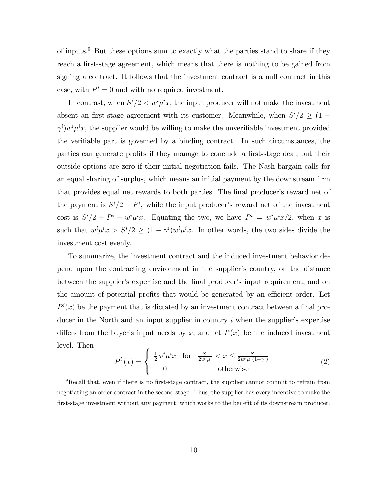of inputs.9 But these options sum to exactly what the parties stand to share if they reach a first-stage agreement, which means that there is nothing to be gained from signing a contract. It follows that the investment contract is a null contract in this case, with  $P^i = 0$  and with no required investment.

In contrast, when  $S^i/2 < w^i\mu^i x$ , the input producer will not make the investment absent an first-stage agreement with its customer. Meanwhile, when  $S^i/2 \geq (1 \gamma^{i}$ ) $w^{i}\mu^{i}x$ , the supplier would be willing to make the unverifiable investment provided the verifiable part is governed by a binding contract. In such circumstances, the parties can generate profits if they manage to conclude a first-stage deal, but their outside options are zero if their initial negotiation fails. The Nash bargain calls for an equal sharing of surplus, which means an initial payment by the downstream firm that provides equal net rewards to both parties. The final producer's reward net of the payment is  $S^i/2 - P^i$ , while the input producer's reward net of the investment cost is  $S^{i}/2 + P^{i} - w^{i} \mu^{i} x$ . Equating the two, we have  $P^{i} = w^{i} \mu^{i} x/2$ , when x is such that  $w^i \mu^i x > S^i/2 \geq (1 - \gamma^i) w^i \mu^i x$ . In other words, the two sides divide the investment cost evenly.

To summarize, the investment contract and the induced investment behavior depend upon the contracting environment in the supplier's country, on the distance between the supplier's expertise and the final producer's input requirement, and on the amount of potential profits that would be generated by an efficient order. Let  $P^{i}(x)$  be the payment that is dictated by an investment contract between a final producer in the North and an input supplier in country i when the supplier's expertise differs from the buyer's input needs by x, and let  $I^i(x)$  be the induced investment level. Then

$$
P^{i}(x) = \begin{cases} \frac{1}{2}w^{i}\mu^{i}x & \text{for } \frac{S^{i}}{2w^{i}\mu^{i}} < x \leq \frac{S^{i}}{2w^{i}\mu^{i}(1-\gamma^{i})} \\ 0 & \text{otherwise} \end{cases}
$$
(2)

<sup>9</sup>Recall that, even if there is no first-stage contract, the supplier cannot commit to refrain from negotiating an order contract in the second stage. Thus, the supplier has every incentive to make the first-stage investment without any payment, which works to the benefit of its downstream producer.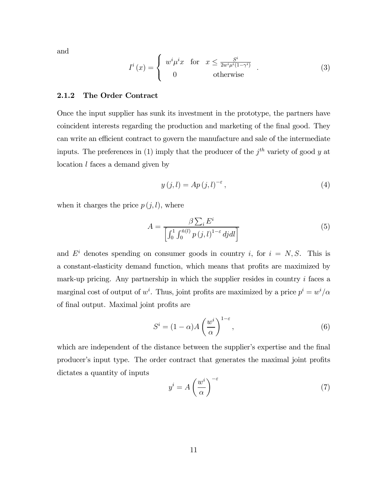and

$$
I^{i}(x) = \begin{cases} w^{i} \mu^{i} x & \text{for} \quad x \leq \frac{S^{i}}{2w^{i} \mu^{i}(1-\gamma^{i})} \\ 0 & \text{otherwise} \end{cases}
$$
 (3)

#### 2.1.2 The Order Contract

Once the input supplier has sunk its investment in the prototype, the partners have coincident interests regarding the production and marketing of the final good. They can write an efficient contract to govern the manufacture and sale of the intermediate inputs. The preferences in (1) imply that the producer of the  $j<sup>th</sup>$  variety of good y at location l faces a demand given by

$$
y(j,l) = Ap(j,l)^{-\varepsilon},\tag{4}
$$

when it charges the price  $p(j, l)$ , where

$$
A = \frac{\beta \sum_{i} E^{i}}{\left[\int_{0}^{1} \int_{0}^{\hat{n}(l)} p(j,l)^{1-\epsilon} dj dl\right]}
$$
(5)

and  $E^i$  denotes spending on consumer goods in country i, for  $i = N, S$ . This is a constant-elasticity demand function, which means that profits are maximized by mark-up pricing. Any partnership in which the supplier resides in country i faces a marginal cost of output of  $w^i$ . Thus, joint profits are maximized by a price  $p^i = w^i/\alpha$ of final output. Maximal joint profits are

$$
S^{i} = (1 - \alpha)A \left(\frac{w^{i}}{\alpha}\right)^{1-\varepsilon}, \qquad (6)
$$

which are independent of the distance between the supplier's expertise and the final producer's input type. The order contract that generates the maximal joint profits dictates a quantity of inputs

$$
y^i = A \left(\frac{w^i}{\alpha}\right)^{-\varepsilon} \tag{7}
$$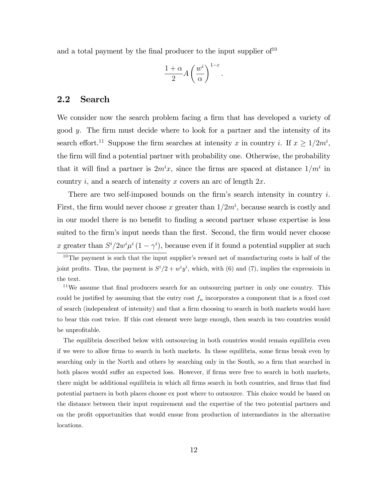and a total payment by the final producer to the input supplier of  $10^{\circ}$ 

$$
\frac{1+\alpha}{2}A\left(\frac{w^i}{\alpha}\right)^{1-\varepsilon}.
$$

#### 2.2 Search

We consider now the search problem facing a firm that has developed a variety of good y. The firm must decide where to look for a partner and the intensity of its search effort.<sup>11</sup> Suppose the firm searches at intensity x in country i. If  $x \ge 1/2m^i$ , the firm will find a potential partner with probability one. Otherwise, the probability that it will find a partner is  $2m^ix$ , since the firms are spaced at distance  $1/m^i$  in country i, and a search of intensity x covers an arc of length  $2x$ .

There are two self-imposed bounds on the firm's search intensity in country i. First, the firm would never choose x greater than  $1/2m^i$ , because search is costly and in our model there is no benefit to finding a second partner whose expertise is less suited to the firm's input needs than the first. Second, the firm would never choose x greater than  $S^i/2w^i\mu^i(1-\gamma^i)$ , because even if it found a potential supplier at such

The equilibria described below with outsourcing in both countries would remain equilibria even if we were to allow firms to search in both markets. In these equilibria, some firms break even by searching only in the North and others by searching only in the South, so a firm that searched in both places would suffer an expected loss. However, if firms were free to search in both markets, there might be additional equilibria in which all firms search in both countries, and firms that find potential partners in both places choose ex post where to outsource. This choice would be based on the distance between their input requirement and the expertise of the two potential partners and on the profit opportunities that would ensue from production of intermediates in the alternative locations.

 $10$ The payment is such that the input supplier's reward net of manufacturing costs is half of the joint profits. Thus, the payment is  $S^{i}/2 + w^{i}y^{i}$ , which, with (6) and (7), implies the expression in the text.

<sup>11</sup>We assume that final producers search for an outsourcing partner in only one country. This could be justified by assuming that the entry cost  $f_n$  incorporates a component that is a fixed cost of search (independent of intensity) and that a firm choosing to search in both markets would have to bear this cost twice. If this cost element were large enough, then search in two countries would be unprofitable.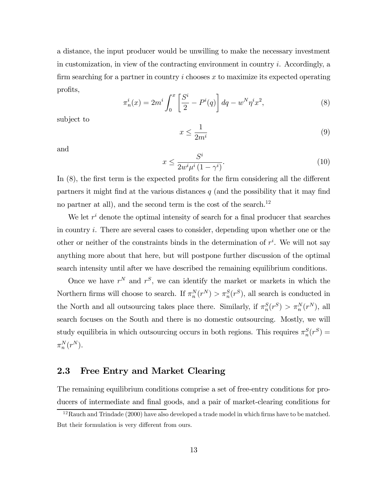a distance, the input producer would be unwilling to make the necessary investment in customization, in view of the contracting environment in country  $i$ . Accordingly, a firm searching for a partner in country  $i$  chooses  $x$  to maximize its expected operating profits,

$$
\pi_n^i(x) = 2m^i \int_0^x \left[ \frac{S^i}{2} - P^i(q) \right] dq - w^N \eta^i x^2,
$$
\n(8)

subject to

$$
x \le \frac{1}{2m^i} \tag{9}
$$

and

$$
x \le \frac{S^i}{2w^i \mu^i (1 - \gamma^i)}.\tag{10}
$$

In (8), the first term is the expected profits for the firm considering all the different partners it might find at the various distances  $q$  (and the possibility that it may find no partner at all), and the second term is the cost of the search.<sup>12</sup>

We let  $r<sup>i</sup>$  denote the optimal intensity of search for a final producer that searches in country i. There are several cases to consider, depending upon whether one or the other or neither of the constraints binds in the determination of  $r^i$ . We will not say anything more about that here, but will postpone further discussion of the optimal search intensity until after we have described the remaining equilibrium conditions.

Once we have  $r^N$  and  $r^S$ , we can identify the market or markets in which the Northern firms will choose to search. If  $\pi_n^N(r^N) > \pi_n^S(r^S)$ , all search is conducted in the North and all outsourcing takes place there. Similarly, if  $\pi_n^S(r^S) > \pi_n^N(r^N)$ , all search focuses on the South and there is no domestic outsourcing. Mostly, we will study equilibria in which outsourcing occurs in both regions. This requires  $\pi_n^S(r^S)$  =  $\pi_n^N(r^N)$ .

### 2.3 Free Entry and Market Clearing

The remaining equilibrium conditions comprise a set of free-entry conditions for producers of intermediate and final goods, and a pair of market-clearing conditions for

 $12$ Rauch and Trindade (2000) have also developed a trade model in which firms have to be matched. But their formulation is very different from ours.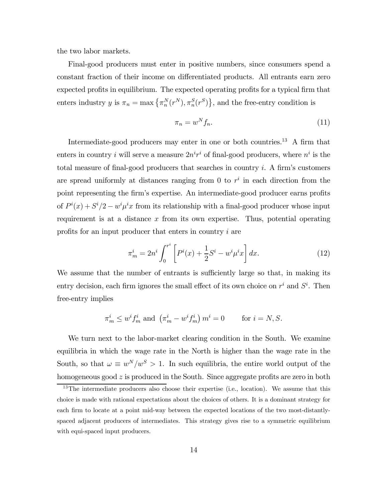the two labor markets.

Final-good producers must enter in positive numbers, since consumers spend a constant fraction of their income on differentiated products. All entrants earn zero expected profits in equilibrium. The expected operating profits for a typical firm that enters industry y is  $\pi_n = \max \left\{ \pi_n^N(r^N), \pi_n^S(r^S) \right\}$ , and the free-entry condition is

$$
\pi_n = w^N f_n. \tag{11}
$$

Intermediate-good producers may enter in one or both countries.13 A firm that enters in country *i* will serve a measure  $2n^{i}r^{i}$  of final-good producers, where  $n^{i}$  is the total measure of final-good producers that searches in country i. A firm's customers are spread uniformly at distances ranging from 0 to  $r^i$  in each direction from the point representing the firm's expertise. An intermediate-good producer earns profits of  $P^{i}(x) + S^{i}/2 - w^{i} \mu^{i} x$  from its relationship with a final-good producer whose input requirement is at a distance  $x$  from its own expertise. Thus, potential operating profits for an input producer that enters in country i are

$$
\pi_m^i = 2n^i \int_0^{r^i} \left[ P^i(x) + \frac{1}{2} S^i - w^i \mu^i x \right] dx.
$$
 (12)

We assume that the number of entrants is sufficiently large so that, in making its entry decision, each firm ignores the small effect of its own choice on  $r^i$  and  $S^i$ . Then free-entry implies

$$
\pi_m^i \le w^i f_m^i \text{ and } \left(\pi_m^i - w^i f_m^i\right) m^i = 0 \quad \text{for } i = N, S.
$$

We turn next to the labor-market clearing condition in the South. We examine equilibria in which the wage rate in the North is higher than the wage rate in the South, so that  $\omega \equiv w^N/w^S > 1$ . In such equilibria, the entire world output of the homogeneous good z is produced in the South. Since aggregate profits are zero in both

 $13$ The intermediate producers also choose their expertise (i.e., location). We assume that this choice is made with rational expectations about the choices of others. It is a dominant strategy for each firm to locate at a point mid-way between the expected locations of the two most-distantlyspaced adjacent producers of intermediates. This strategy gives rise to a symmetric equilibrium with equi-spaced input producers.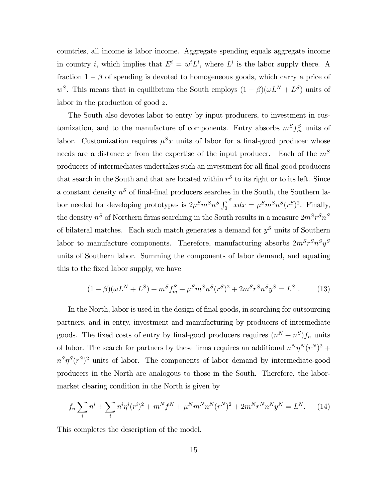countries, all income is labor income. Aggregate spending equals aggregate income in country *i*, which implies that  $E^i = w^i L^i$ , where  $L^i$  is the labor supply there. A fraction  $1 - \beta$  of spending is devoted to homogeneous goods, which carry a price of w<sup>S</sup>. This means that in equilibrium the South employs  $(1 - \beta)(\omega L^N + L^S)$  units of labor in the production of good z.

The South also devotes labor to entry by input producers, to investment in customization, and to the manufacture of components. Entry absorbs  $m<sup>S</sup>f<sub>m</sub><sup>S</sup>$  units of labor. Customization requires  $\mu^S x$  units of labor for a final-good producer whose needs are a distance x from the expertise of the input producer. Each of the  $m<sup>S</sup>$ producers of intermediates undertakes such an investment for all final-good producers that search in the South and that are located within  $r<sup>S</sup>$  to its right or to its left. Since a constant density  $n<sup>S</sup>$  of final-final producers searches in the South, the Southern labor needed for developing prototypes is  $2\mu^S m^S n^S \int_0^{r^S} x dx = \mu^S m^S n^S (r^S)^2$ . Finally, the density  $n^S$  of Northern firms searching in the South results in a measure  $2m^S r^S n^S$ of bilateral matches. Each such match generates a demand for  $y^S$  units of Southern labor to manufacture components. Therefore, manufacturing absorbs  $2m^S r^S n^S y^S$ units of Southern labor. Summing the components of labor demand, and equating this to the fixed labor supply, we have

$$
(1 - \beta)(\omega L^N + L^S) + m^S f_m^S + \mu^S m^S n^S (r^S)^2 + 2m^S r^S n^S y^S = L^S.
$$
 (13)

In the North, labor is used in the design of final goods, in searching for outsourcing partners, and in entry, investment and manufacturing by producers of intermediate goods. The fixed costs of entry by final-good producers requires  $(n^N + n^S)f_n$  units of labor. The search for partners by these firms requires an additional  $n^N \eta^N (r^N)^2$  +  $n<sup>S</sup>\eta<sup>S</sup>(r<sup>S</sup>)<sup>2</sup>$  units of labor. The components of labor demand by intermediate-good producers in the North are analogous to those in the South. Therefore, the labormarket clearing condition in the North is given by

$$
f_n \sum_{i} n^i + \sum_{i} n^i \eta^i (r^i)^2 + m^N f^N + \mu^N m^N n^N (r^N)^2 + 2m^N r^N n^N y^N = L^N.
$$
 (14)

This completes the description of the model.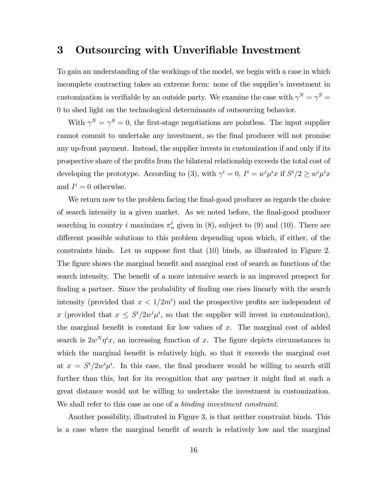## 3 Outsourcing with Unverifiable Investment

To gain an understanding of the workings of the model, we begin with a case in which incomplete contracting takes an extreme form: none of the supplier's investment in customization is verifiable by an outside party. We examine the case with  $\gamma^N = \gamma^S =$ 0 to shed light on the technological determinants of outsourcing behavior.

With  $\gamma^N = \gamma^S = 0$ , the first-stage negotiations are pointless. The input supplier cannot commit to undertake any investment, so the final producer will not promise any up-front payment. Instead, the supplier invests in customization if and only if its prospective share of the profits from the bilateral relationship exceeds the total cost of developing the prototype. According to (3), with  $\gamma^i = 0$ ,  $I^i = w^i \mu^i x$  if  $S^i/2 \geq w^i \mu^i x$ and  $I^i = 0$  otherwise.

We return now to the problem facing the final-good producer as regards the choice of search intensity in a given market. As we noted before, the final-good producer searching in country *i* maximizes  $\pi_n^i$  given in (8), subject to (9) and (10). There are different possible solutions to this problem depending upon which, if either, of the constraints binds. Let us suppose first that (10) binds, as illustrated in Figure 2. The figure shows the marginal benefit and marginal cost of search as functions of the search intensity. The benefit of a more intensive search is an improved prospect for finding a partner. Since the probability of finding one rises linearly with the search intensity (provided that  $x < 1/2m^i$ ) and the prospective profits are independent of x (provided that  $x \leq S^{i}/2w^{i}\mu^{i}$ , so that the supplier will invest in customization), the marginal benefit is constant for low values of  $x$ . The marginal cost of added search is  $2w^N \eta^i x$ , an increasing function of x. The figure depicts circumstances in which the marginal benefit is relatively high, so that it exceeds the marginal cost at  $x = S^{i}/2w^{i}\mu^{i}$ . In this case, the final producer would be willing to search still further than this, but for its recognition that any partner it might find at such a great distance would not be willing to undertake the investment in customization. We shall refer to this case as one of a *binding investment constraint*.

Another possibility, illustrated in Figure 3, is that neither constraint binds. This is a case where the marginal benefit of search is relatively low and the marginal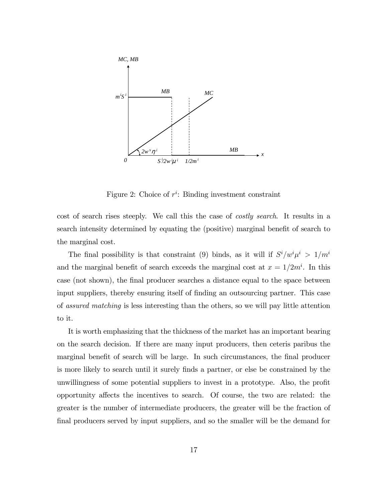

Figure 2: Choice of  $r^i$ : Binding investment constraint

cost of search rises steeply. We call this the case of *costly search*. It results in a search intensity determined by equating the (positive) marginal benefit of search to the marginal cost.

The final possibility is that constraint (9) binds, as it will if  $S^i/w^i\mu^i > 1/m^i$ and the marginal benefit of search exceeds the marginal cost at  $x = 1/2m^i$ . In this case (not shown), the final producer searches a distance equal to the space between input suppliers, thereby ensuring itself of finding an outsourcing partner. This case of assured matching is less interesting than the others, so we will pay little attention to it.

It is worth emphasizing that the thickness of the market has an important bearing on the search decision. If there are many input producers, then ceteris paribus the marginal benefit of search will be large. In such circumstances, the final producer is more likely to search until it surely finds a partner, or else be constrained by the unwillingness of some potential suppliers to invest in a prototype. Also, the profit opportunity affects the incentives to search. Of course, the two are related: the greater is the number of intermediate producers, the greater will be the fraction of final producers served by input suppliers, and so the smaller will be the demand for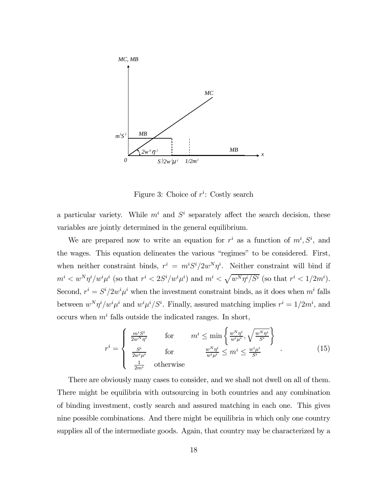

Figure 3: Choice of  $r^i$ : Costly search

a particular variety. While  $m^i$  and  $S^i$  separately affect the search decision, these variables are jointly determined in the general equilibrium.

We are prepared now to write an equation for  $r^i$  as a function of  $m^i, S^i$ , and the wages. This equation delineates the various "regimes" to be considered. First, when neither constraint binds,  $r^i = m^i S^i / 2 w^N \eta^i$ . Neither constraint will bind if  $m^i < w^N \eta^i/w^i \mu^i$  (so that  $r^i < 2S^i/w^i\mu^i$ ) and  $m^i < \sqrt{w^N \eta^i/S^i}$  (so that  $r^i < 1/2m^i$ ). Second,  $r^i = S^i/2w^i\mu^i$  when the investment constraint binds, as it does when  $m^i$  falls between  $w^N \eta^i/w^i \mu^i$  and  $w^i \mu^i/S^i$ . Finally, assured matching implies  $r^i = 1/2m^i$ , and occurs when  $m<sup>i</sup>$  falls outside the indicated ranges. In short,

$$
r^{i} = \begin{cases} \frac{m^{i}S^{i}}{2w^{N}\eta^{i}} & \text{for} & m^{i} \leq \min\left\{\frac{w^{N}\eta^{i}}{w^{i}\mu^{i}}, \sqrt{\frac{w^{N}\eta^{i}}{S^{i}}}\right\} \\ \frac{S^{i}}{2w^{i}\mu^{i}} & \text{for} & \frac{w^{N}\eta^{i}}{w^{i}\mu^{i}} \leq m^{i} \leq \frac{w^{i}\mu^{i}}{S^{i}} \\ \frac{1}{2m^{i}} & \text{otherwise} \end{cases} (15)
$$

There are obviously many cases to consider, and we shall not dwell on all of them. There might be equilibria with outsourcing in both countries and any combination of binding investment, costly search and assured matching in each one. This gives nine possible combinations. And there might be equilibria in which only one country supplies all of the intermediate goods. Again, that country may be characterized by a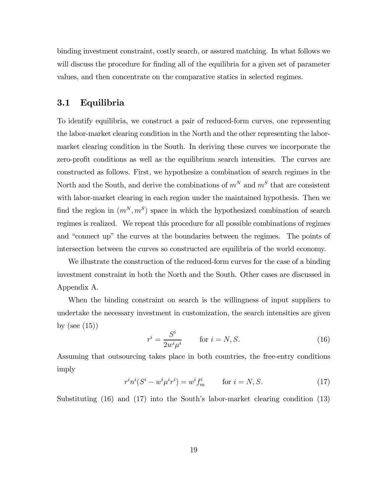binding investment constraint, costly search, or assured matching. In what follows we will discuss the procedure for finding all of the equilibria for a given set of parameter values, and then concentrate on the comparative statics in selected regimes.

#### 3.1 Equilibria

To identify equilibria, we construct a pair of reduced-form curves, one representing the labor-market clearing condition in the North and the other representing the labormarket clearing condition in the South. In deriving these curves we incorporate the zero-profit conditions as well as the equilibrium search intensities. The curves are constructed as follows. First, we hypothesize a combination of search regimes in the North and the South, and derive the combinations of  $m^N$  and  $m^S$  that are consistent with labor-market clearing in each region under the maintained hypothesis. Then we find the region in  $(m^N, m^S)$  space in which the hypothesized combination of search regimes is realized. We repeat this procedure for all possible combinations of regimes and "connect up" the curves at the boundaries between the regimes. The points of intersection between the curves so constructed are equilibria of the world economy.

We illustrate the construction of the reduced-form curves for the case of a binding investment constraint in both the North and the South. Other cases are discussed in Appendix A.

When the binding constraint on search is the willingness of input suppliers to undertake the necessary investment in customization, the search intensities are given by (see (15))

$$
r^i = \frac{S^i}{2w^i\mu^i} \qquad \text{for } i = N, S. \tag{16}
$$

Assuming that outsourcing takes place in both countries, the free-entry conditions imply

$$
r^{i}n^{i}(S^{i}-w^{i}\mu^{i}r^{i})=w^{i}f_{m}^{i} \qquad \text{for } i=N, S. \qquad (17)
$$

Substituting (16) and (17) into the South's labor-market clearing condition (13)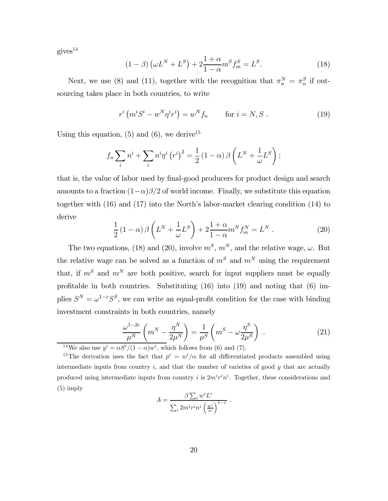$gives<sup>14</sup>$ 

$$
(1 - \beta)\left(\omega L^N + L^S\right) + 2\frac{1 + \alpha}{1 - \alpha}m^S f_m^S = L^S.
$$
\n<sup>(18)</sup>

Next, we use (8) and (11), together with the recognition that  $\pi_n^N = \pi_n^S$  if outsourcing takes place in both countries, to write

$$
r^{i}\left(m^{i}S^{i}-w^{N}\eta^{i}r^{i}\right)=w^{N}f_{n} \qquad \text{for } i=N, S. \qquad (19)
$$

Using this equation,  $(5)$  and  $(6)$ , we derive<sup>15</sup>

$$
f_n \sum_{i} n^{i} + \sum_{i} n^{i} \eta^{i} (r^{i})^2 = \frac{1}{2} (1 - \alpha) \beta \left( L^N + \frac{1}{\omega} L^S \right);
$$

that is, the value of labor used by final-good producers for product design and search amounts to a fraction  $(1-\alpha)\beta/2$  of world income. Finally, we substitute this equation together with (16) and (17) into the North's labor-market clearing condition (14) to derive

$$
\frac{1}{2}(1-\alpha)\beta\left(L^N+\frac{1}{\omega}L^S\right)+2\frac{1+\alpha}{1-\alpha}m^Nf_m^N=L^N.
$$
\n(20)

The two equations, (18) and (20), involve  $m^S$ ,  $m^N$ , and the relative wage,  $\omega$ . But the relative wage can be solved as a function of  $m<sup>S</sup>$  and  $m<sup>N</sup>$  using the requirement that, if  $m^S$  and  $m^N$  are both positive, search for input suppliers must be equally profitable in both countries. Substituting (16) into (19) and noting that (6) implies  $S^N = \omega^{1-\epsilon} S^S$ , we can write an equal-profit condition for the case with binding investment constraints in both countries, namely

$$
\frac{\omega^{1-2\varepsilon}}{\mu^N} \left( m^N - \frac{\eta^N}{2\mu^N} \right) = \frac{1}{\mu^S} \left( m^S - \omega \frac{\eta^S}{2\mu^S} \right) . \tag{21}
$$

$$
A = \frac{\beta \sum_i w^i L^i}{\sum_i 2m^i r^i n^i \left(\frac{w^i}{\alpha}\right)^{1-\varepsilon}}.
$$

<sup>&</sup>lt;sup>14</sup>We also use  $y^i = \alpha S^i/(1-\alpha)w^i$ , which follows from (6) and (7).

<sup>&</sup>lt;sup>15</sup>The derivation uses the fact that  $p^i = w^i/\alpha$  for all differentiated products assembled using intermediate inputs from country  $i$ , and that the number of varieties of good  $y$  that are actually produced using intermediate inputs from country i is  $2m^i r^i n^i$ . Together, these considerations and (5) imply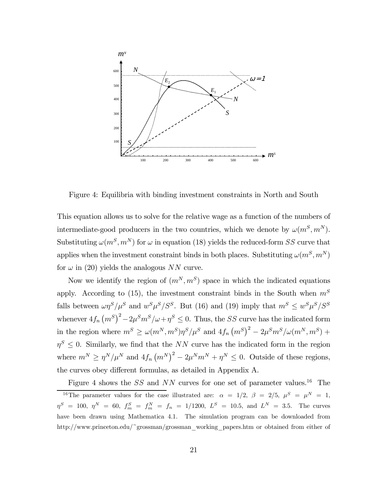

Figure 4: Equilibria with binding investment constraints in North and South

This equation allows us to solve for the relative wage as a function of the numbers of intermediate-good producers in the two countries, which we denote by  $\omega(m^S, m^N)$ . Substituting  $\omega(m^S, m^N)$  for  $\omega$  in equation (18) yields the reduced-form SS curve that applies when the investment constraint binds in both places. Substituting  $\omega(m^S, m^N)$ for  $\omega$  in (20) yields the analogous NN curve.

Now we identify the region of  $(m^N, m^S)$  space in which the indicated equations apply. According to (15), the investment constraint binds in the South when  $m<sup>S</sup>$ falls between  $\omega \eta^S / \mu^S$  and  $w^S \mu^S / S^S$ . But (16) and (19) imply that  $m^S \leq w^S \mu^S / S^S$ whenever  $4f_n (m^S)^2 - 2\mu^S m^S/\omega + \eta^S \leq 0$ . Thus, the *SS* curve has the indicated form in the region where  $m^S \ge \omega(m^N, m^S) \eta^S / \mu^S$  and  $4f_n (m^S)^2 - 2\mu^S m^S / \omega(m^N, m^S) +$  $\eta^S \leq 0$ . Similarly, we find that the NN curve has the indicated form in the region where  $m^N \ge \eta^N / \mu^N$  and  $4f_n (m^N)^2 - 2\mu^N m^N + \eta^N \le 0$ . Outside of these regions, the curves obey different formulas, as detailed in Appendix A.

Figure 4 shows the  $SS$  and NN curves for one set of parameter values.<sup>16</sup> The <sup>16</sup>The parameter values for the case illustrated are:  $\alpha = 1/2$ ,  $\beta = 2/5$ ,  $\mu^S = \mu^N = 1$ ,  $\eta^S = 100, \; \eta^N = 60, \; f_m^S = f_m^N = f_n = 1/1200, \; L^S = 10.5, \; \text{and} \; L^N = 3.5.$  The curves have been drawn using Mathematica 4.1. The simulation program can be downloaded from http://www.princeton.edu/~grossman/grossman\_working\_papers.htm or obtained from either of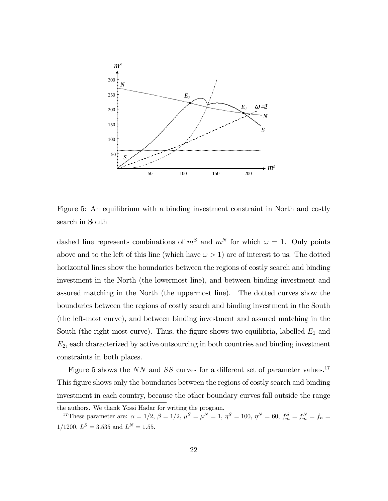

Figure 5: An equilibrium with a binding investment constraint in North and costly search in South

dashed line represents combinations of  $m<sup>S</sup>$  and  $m<sup>N</sup>$  for which  $\omega = 1$ . Only points above and to the left of this line (which have  $\omega > 1$ ) are of interest to us. The dotted horizontal lines show the boundaries between the regions of costly search and binding investment in the North (the lowermost line), and between binding investment and assured matching in the North (the uppermost line). The dotted curves show the boundaries between the regions of costly search and binding investment in the South (the left-most curve), and between binding investment and assured matching in the South (the right-most curve). Thus, the figure shows two equilibria, labelled  $E_1$  and  $E_2$ , each characterized by active outsourcing in both countries and binding investment constraints in both places.

Figure 5 shows the  $NN$  and  $SS$  curves for a different set of parameter values.<sup>17</sup> This figure shows only the boundaries between the regions of costly search and binding investment in each country, because the other boundary curves fall outside the range

the authors. We thank Yossi Hadar for writing the program.

<sup>&</sup>lt;sup>17</sup>These parameter are:  $\alpha = 1/2$ ,  $\beta = 1/2$ ,  $\mu^S = \mu^N = 1$ ,  $\eta^S = 100$ ,  $\eta^N = 60$ ,  $f_m^S = f_m^N = f_n =$ 1/1200,  $L^S = 3.535$  and  $L^N = 1.55$ .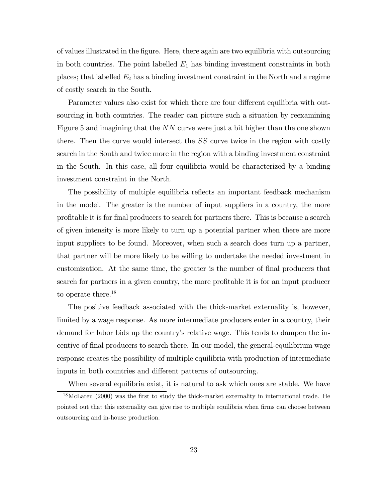of values illustrated in the figure. Here, there again are two equilibria with outsourcing in both countries. The point labelled  $E_1$  has binding investment constraints in both places; that labelled  $E_2$  has a binding investment constraint in the North and a regime of costly search in the South.

Parameter values also exist for which there are four different equilibria with outsourcing in both countries. The reader can picture such a situation by reexamining Figure 5 and imagining that the NN curve were just a bit higher than the one shown there. Then the curve would intersect the SS curve twice in the region with costly search in the South and twice more in the region with a binding investment constraint in the South. In this case, all four equilibria would be characterized by a binding investment constraint in the North.

The possibility of multiple equilibria reflects an important feedback mechanism in the model. The greater is the number of input suppliers in a country, the more profitable it is for final producers to search for partners there. This is because a search of given intensity is more likely to turn up a potential partner when there are more input suppliers to be found. Moreover, when such a search does turn up a partner, that partner will be more likely to be willing to undertake the needed investment in customization. At the same time, the greater is the number of final producers that search for partners in a given country, the more profitable it is for an input producer to operate there.<sup>18</sup>

The positive feedback associated with the thick-market externality is, however, limited by a wage response. As more intermediate producers enter in a country, their demand for labor bids up the country's relative wage. This tends to dampen the incentive of final producers to search there. In our model, the general-equilibrium wage response creates the possibility of multiple equilibria with production of intermediate inputs in both countries and different patterns of outsourcing.

When several equilibria exist, it is natural to ask which ones are stable. We have

 $18$ McLaren (2000) was the first to study the thick-market externality in international trade. He pointed out that this externality can give rise to multiple equilibria when firms can choose between outsourcing and in-house production.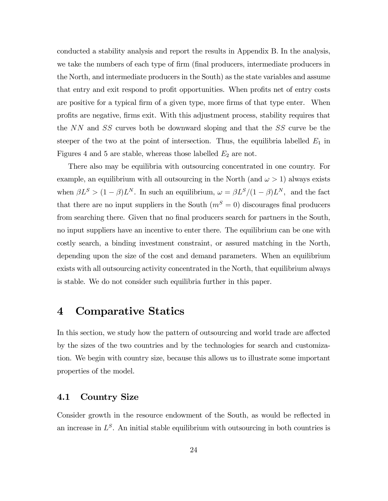conducted a stability analysis and report the results in Appendix B. In the analysis, we take the numbers of each type of firm (final producers, intermediate producers in the North, and intermediate producers in the South) as the state variables and assume that entry and exit respond to profit opportunities. When profits net of entry costs are positive for a typical firm of a given type, more firms of that type enter. When profits are negative, firms exit. With this adjustment process, stability requires that the NN and SS curves both be downward sloping and that the SS curve be the steeper of the two at the point of intersection. Thus, the equilibria labelled  $E_1$  in Figures 4 and 5 are stable, whereas those labelled  $E_2$  are not.

There also may be equilibria with outsourcing concentrated in one country. For example, an equilibrium with all outsourcing in the North (and  $\omega > 1$ ) always exists when  $\beta L^S > (1 - \beta)L^N$ . In such an equilibrium,  $\omega = \beta L^S/(1 - \beta)L^N$ , and the fact that there are no input suppliers in the South  $(m^S = 0)$  discourages final producers from searching there. Given that no final producers search for partners in the South, no input suppliers have an incentive to enter there. The equilibrium can be one with costly search, a binding investment constraint, or assured matching in the North, depending upon the size of the cost and demand parameters. When an equilibrium exists with all outsourcing activity concentrated in the North, that equilibrium always is stable. We do not consider such equilibria further in this paper.

# 4 Comparative Statics

In this section, we study how the pattern of outsourcing and world trade are affected by the sizes of the two countries and by the technologies for search and customization. We begin with country size, because this allows us to illustrate some important properties of the model.

#### 4.1 Country Size

Consider growth in the resource endowment of the South, as would be reflected in an increase in  $L<sup>S</sup>$ . An initial stable equilibrium with outsourcing in both countries is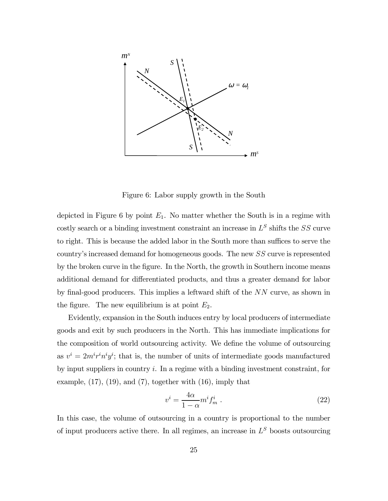

Figure 6: Labor supply growth in the South

depicted in Figure 6 by point  $E_1$ . No matter whether the South is in a regime with costly search or a binding investment constraint an increase in  $L<sup>S</sup>$  shifts the  $SS$  curve to right. This is because the added labor in the South more than suffices to serve the country's increased demand for homogeneous goods. The new SS curve is represented by the broken curve in the figure. In the North, the growth in Southern income means additional demand for differentiated products, and thus a greater demand for labor by final-good producers. This implies a leftward shift of the NN curve, as shown in the figure. The new equilibrium is at point  $E_2$ .

Evidently, expansion in the South induces entry by local producers of intermediate goods and exit by such producers in the North. This has immediate implications for the composition of world outsourcing activity. We define the volume of outsourcing as  $v^i = 2m^i r^i n^i y^i$ ; that is, the number of units of intermediate goods manufactured by input suppliers in country i. In a regime with a binding investment constraint, for example,  $(17)$ ,  $(19)$ , and  $(7)$ , together with  $(16)$ , imply that

$$
v^i = \frac{4\alpha}{1 - \alpha} m^i f_m^i \tag{22}
$$

In this case, the volume of outsourcing in a country is proportional to the number of input producers active there. In all regimes, an increase in  $L<sup>S</sup>$  boosts outsourcing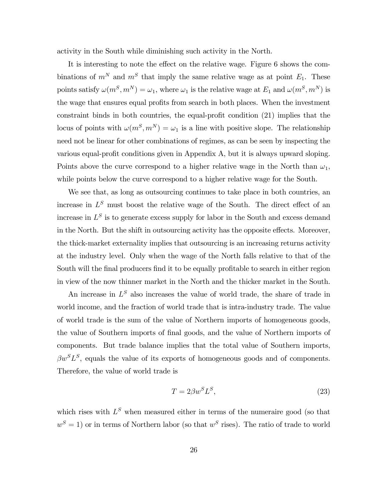activity in the South while diminishing such activity in the North.

It is interesting to note the effect on the relative wage. Figure 6 shows the combinations of  $m^N$  and  $m^S$  that imply the same relative wage as at point  $E_1$ . These points satisfy  $\omega(m^S, m^N) = \omega_1$ , where  $\omega_1$  is the relative wage at  $E_1$  and  $\omega(m^S, m^N)$  is the wage that ensures equal profits from search in both places. When the investment constraint binds in both countries, the equal-profit condition (21) implies that the locus of points with  $\omega(m^S, m^N) = \omega_1$  is a line with positive slope. The relationship need not be linear for other combinations of regimes, as can be seen by inspecting the various equal-profit conditions given in Appendix A, but it is always upward sloping. Points above the curve correspond to a higher relative wage in the North than  $\omega_1$ , while points below the curve correspond to a higher relative wage for the South.

We see that, as long as outsourcing continues to take place in both countries, an increase in  $L^S$  must boost the relative wage of the South. The direct effect of an increase in  $L^S$  is to generate excess supply for labor in the South and excess demand in the North. But the shift in outsourcing activity has the opposite effects. Moreover, the thick-market externality implies that outsourcing is an increasing returns activity at the industry level. Only when the wage of the North falls relative to that of the South will the final producers find it to be equally profitable to search in either region in view of the now thinner market in the North and the thicker market in the South.

An increase in  $L<sup>S</sup>$  also increases the value of world trade, the share of trade in world income, and the fraction of world trade that is intra-industry trade. The value of world trade is the sum of the value of Northern imports of homogeneous goods, the value of Southern imports of final goods, and the value of Northern imports of components. But trade balance implies that the total value of Southern imports,  $\beta w^S L^S$ , equals the value of its exports of homogeneous goods and of components. Therefore, the value of world trade is

$$
T = 2\beta w^S L^S,\tag{23}
$$

which rises with  $L<sup>S</sup>$  when measured either in terms of the numeraire good (so that  $w^S = 1$ ) or in terms of Northern labor (so that  $w^S$  rises). The ratio of trade to world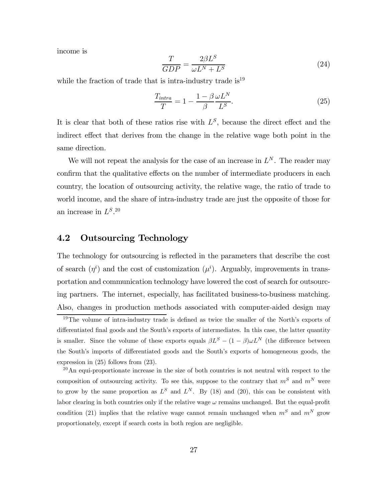income is

$$
\frac{T}{GDP} = \frac{2\beta L^S}{\omega L^N + L^S}
$$
\n(24)

while the fraction of trade that is intra-industry trade is  $19$ 

$$
\frac{T_{intra}}{T} = 1 - \frac{1 - \beta \,\omega L^N}{\beta \,L^S}.\tag{25}
$$

It is clear that both of these ratios rise with  $L<sup>S</sup>$ , because the direct effect and the indirect effect that derives from the change in the relative wage both point in the same direction.

We will not repeat the analysis for the case of an increase in  $L^N$ . The reader may confirm that the qualitative effects on the number of intermediate producers in each country, the location of outsourcing activity, the relative wage, the ratio of trade to world income, and the share of intra-industry trade are just the opposite of those for an increase in  $L^{S,20}$ 

### 4.2 Outsourcing Technology

The technology for outsourcing is reflected in the parameters that describe the cost of search  $(\eta^i)$  and the cost of customization  $(\mu^i)$ . Arguably, improvements in transportation and communication technology have lowered the cost of search for outsourcing partners. The internet, especially, has facilitated business-to-business matching. Also, changes in production methods associated with computer-aided design may

<sup>&</sup>lt;sup>19</sup>The volume of intra-industry trade is defined as twice the smaller of the North's exports of differentiated final goods and the South's exports of intermediates. In this case, the latter quantity is smaller. Since the volume of these exports equals  $\beta L^S - (1 - \beta)\omega L^N$  (the difference between the South's imports of differentiated goods and the South's exports of homogeneous goods, the expression in (25) follows from (23).

 $^{20}$ An equi-proportionate increase in the size of both countries is not neutral with respect to the composition of outsourcing activity. To see this, suppose to the contrary that  $m<sup>S</sup>$  and  $m<sup>N</sup>$  were to grow by the same proportion as  $L^S$  and  $L^N$ . By (18) and (20), this can be consistent with labor clearing in both countries only if the relative wage  $\omega$  remains unchanged. But the equal-profit condition (21) implies that the relative wage cannot remain unchanged when  $m<sup>S</sup>$  and  $m<sup>N</sup>$  grow proportionately, except if search costs in both region are negligible.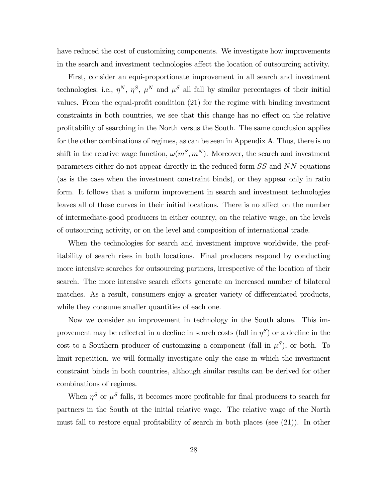have reduced the cost of customizing components. We investigate how improvements in the search and investment technologies affect the location of outsourcing activity.

First, consider an equi-proportionate improvement in all search and investment technologies; i.e.,  $\eta^N$ ,  $\eta^S$ ,  $\mu^N$  and  $\mu^S$  all fall by similar percentages of their initial values. From the equal-profit condition (21) for the regime with binding investment constraints in both countries, we see that this change has no effect on the relative profitability of searching in the North versus the South. The same conclusion applies for the other combinations of regimes, as can be seen in Appendix A. Thus, there is no shift in the relative wage function,  $\omega(m^S, m^N)$ . Moreover, the search and investment parameters either do not appear directly in the reduced-form SS and NN equations (as is the case when the investment constraint binds), or they appear only in ratio form. It follows that a uniform improvement in search and investment technologies leaves all of these curves in their initial locations. There is no affect on the number of intermediate-good producers in either country, on the relative wage, on the levels of outsourcing activity, or on the level and composition of international trade.

When the technologies for search and investment improve worldwide, the profitability of search rises in both locations. Final producers respond by conducting more intensive searches for outsourcing partners, irrespective of the location of their search. The more intensive search efforts generate an increased number of bilateral matches. As a result, consumers enjoy a greater variety of differentiated products, while they consume smaller quantities of each one.

Now we consider an improvement in technology in the South alone. This improvement may be reflected in a decline in search costs (fall in  $\eta^S$ ) or a decline in the cost to a Southern producer of customizing a component (fall in  $\mu^S$ ), or both. To limit repetition, we will formally investigate only the case in which the investment constraint binds in both countries, although similar results can be derived for other combinations of regimes.

When  $\eta^S$  or  $\mu^S$  falls, it becomes more profitable for final producers to search for partners in the South at the initial relative wage. The relative wage of the North must fall to restore equal profitability of search in both places (see (21)). In other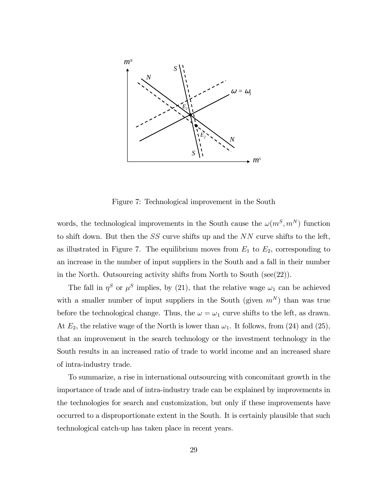

Figure 7: Technological improvement in the South

words, the technological improvements in the South cause the  $\omega(m^S, m^N)$  function to shift down. But then the  $SS$  curve shifts up and the  $NN$  curve shifts to the left, as illustrated in Figure 7. The equilibrium moves from  $E_1$  to  $E_2$ , corresponding to an increase in the number of input suppliers in the South and a fall in their number in the North. Outsourcing activity shifts from North to South (see(22)).

The fall in  $\eta^S$  or  $\mu^S$  implies, by (21), that the relative wage  $\omega_1$  can be achieved with a smaller number of input suppliers in the South (given  $m^N$ ) than was true before the technological change. Thus, the  $\omega = \omega_1$  curve shifts to the left, as drawn. At  $E_2$ , the relative wage of the North is lower than  $\omega_1$ . It follows, from (24) and (25), that an improvement in the search technology or the investment technology in the South results in an increased ratio of trade to world income and an increased share of intra-industry trade.

To summarize, a rise in international outsourcing with concomitant growth in the importance of trade and of intra-industry trade can be explained by improvements in the technologies for search and customization, but only if these improvements have occurred to a disproportionate extent in the South. It is certainly plausible that such technological catch-up has taken place in recent years.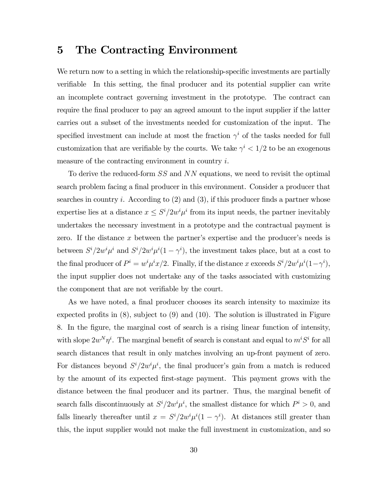## 5 The Contracting Environment

We return now to a setting in which the relationship-specific investments are partially verifiable In this setting, the final producer and its potential supplier can write an incomplete contract governing investment in the prototype. The contract can require the final producer to pay an agreed amount to the input supplier if the latter carries out a subset of the investments needed for customization of the input. The specified investment can include at most the fraction  $\gamma^{i}$  of the tasks needed for full customization that are verifiable by the courts. We take  $\gamma^i$  < 1/2 to be an exogenous measure of the contracting environment in country i.

To derive the reduced-form SS and NN equations, we need to revisit the optimal search problem facing a final producer in this environment. Consider a producer that searches in country i. According to  $(2)$  and  $(3)$ , if this producer finds a partner whose expertise lies at a distance  $x \leq S^{i}/2w^{i}\mu^{i}$  from its input needs, the partner inevitably undertakes the necessary investment in a prototype and the contractual payment is zero. If the distance x between the partner's expertise and the producer's needs is between  $S^i/2w^i\mu^i$  and  $S^i/2w^i\mu^i(1-\gamma^i)$ , the investment takes place, but at a cost to the final producer of  $P^i = w^i \mu^i x/2$ . Finally, if the distance x exceeds  $S^i/2w^i \mu^i (1-\gamma^i)$ , the input supplier does not undertake any of the tasks associated with customizing the component that are not verifiable by the court.

As we have noted, a final producer chooses its search intensity to maximize its expected profits in  $(8)$ , subject to  $(9)$  and  $(10)$ . The solution is illustrated in Figure 8. In the figure, the marginal cost of search is a rising linear function of intensity, with slope  $2w^N\eta^i$ . The marginal benefit of search is constant and equal to  $m^iS^i$  for all search distances that result in only matches involving an up-front payment of zero. For distances beyond  $S^{i}/2w^{i}\mu^{i}$ , the final producer's gain from a match is reduced by the amount of its expected first-stage payment. This payment grows with the distance between the final producer and its partner. Thus, the marginal benefit of search falls discontinuously at  $S^i/2w^i\mu^i$ , the smallest distance for which  $P^i > 0$ , and falls linearly thereafter until  $x = S^{i}/2w^{i}\mu^{i}(1 - \gamma^{i})$ . At distances still greater than this, the input supplier would not make the full investment in customization, and so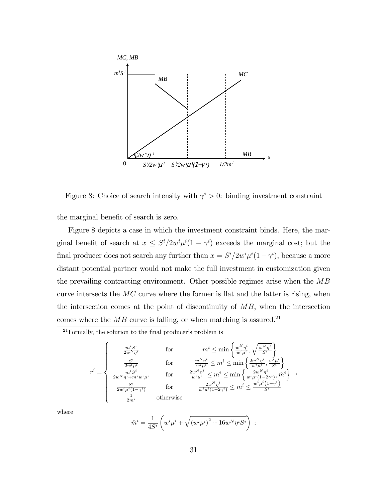

Figure 8: Choice of search intensity with  $\gamma^i > 0$ : binding investment constraint

the marginal benefit of search is zero.

Figure 8 depicts a case in which the investment constraint binds. Here, the marginal benefit of search at  $x \leq S^{i}/2w^{i}\mu^{i}(1-\gamma^{i})$  exceeds the marginal cost; but the final producer does not search any further than  $x = S^{i}/2w^{i}\mu^{i}(1-\gamma^{i})$ , because a more distant potential partner would not make the full investment in customization given the prevailing contracting environment. Other possible regimes arise when the MB curve intersects the  $MC$  curve where the former is flat and the latter is rising, when the intersection comes at the point of discontinuity of  $MB$ , when the intersection comes where the  $MB$  curve is falling, or when matching is assured.<sup>21</sup>

$$
r^i=\left\{\begin{array}{ccc} \frac{m^iS^i}{2w^N\eta^i}&\text{for}&m^i\leq\min\left\{\frac{w^N\eta^i}{w^i\mu^i},\sqrt{\frac{w^N\eta^i}{S^i}}\right\}\\\frac{S^i}{2w^i\mu^i}&\text{for}&\frac{w^N\eta^i}{w^i\mu^i}\leq m^i\leq\min\left\{\frac{2w^N\eta^i}{w^i\mu^i},\frac{w^i\mu^i}{S^i}\right\}\\\frac{m^iS^i}{2w^N\eta^i+m^iw^i\mu^i}&\text{for}&\frac{2w^N\eta^i}{w^i\mu^i}\leq m^i\leq\min\left\{\frac{2w^N\eta^i}{w^i\mu^i(1-2\gamma^i)},\hat{m}^i\right\}\\\frac{S^i}{2w^i\mu^i(1-\gamma^i)}&\text{for}&\frac{2w^N\eta^i}{w^i\mu^i(1-2\gamma^i)}\leq m^i\leq\frac{w^i\mu^i(1-\gamma^i)}{S^i}\\ \frac{1}{2m^i}&\text{otherwise}\end{array}\right.
$$

,

where

$$
\hat{m}^i = \frac{1}{4S^i} \left( w^i \mu^i + \sqrt{(w^i \mu^i)^2 + 16w^N \eta^i S^i} \right) ;
$$

 $21$  Formally, the solution to the final producer's problem is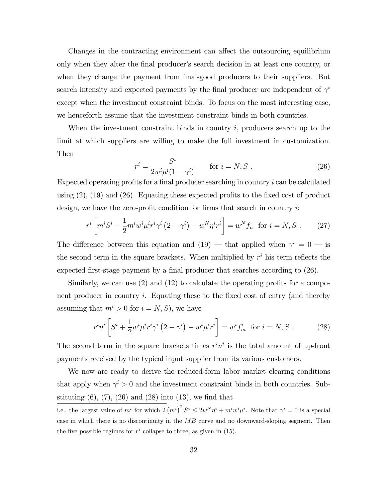Changes in the contracting environment can affect the outsourcing equilibrium only when they alter the final producer's search decision in at least one country, or when they change the payment from final-good producers to their suppliers. But search intensity and expected payments by the final producer are independent of  $\gamma^i$ except when the investment constraint binds. To focus on the most interesting case, we henceforth assume that the investment constraint binds in both countries.

When the investment constraint binds in country  $i$ , producers search up to the limit at which suppliers are willing to make the full investment in customization. Then

$$
r^{i} = \frac{S^{i}}{2w^{i}\mu^{i}(1-\gamma^{i})} \qquad \text{for } i = N, S . \qquad (26)
$$

Expected operating profits for a final producer searching in country  $i$  can be calculated using (2), (19) and (26). Equating these expected profits to the fixed cost of product design, we have the zero-profit condition for firms that search in country  $i$ :

$$
r^{i}\left[m^{i}S^{i}-\frac{1}{2}m^{i}w^{i}\mu^{i}r^{i}\gamma^{i}\left(2-\gamma^{i}\right)-w^{N}\eta^{i}r^{i}\right]=w^{N}f_{n} \text{ for } i=N, S. \qquad (27)
$$

The difference between this equation and (19) – that applied when  $\gamma^{i} = 0$  – is the second term in the square brackets. When multiplied by  $r<sup>i</sup>$  his term reflects the expected first-stage payment by a final producer that searches according to (26).

Similarly, we can use (2) and (12) to calculate the operating profits for a component producer in country i. Equating these to the fixed cost of entry (and thereby assuming that  $m^i > 0$  for  $i = N, S$ , we have

$$
r^{i}n^{i}\left[S^{i}+\frac{1}{2}w^{i}\mu^{i}r^{i}\gamma^{i}\left(2-\gamma^{i}\right)-w^{i}\mu^{i}r^{i}\right]=w^{i}f_{m}^{i} \text{ for } i=N, S. \qquad (28)
$$

The second term in the square brackets times  $r^{i}n^{i}$  is the total amount of up-front payments received by the typical input supplier from its various customers.

We now are ready to derive the reduced-form labor market clearing conditions that apply when  $\gamma^i > 0$  and the investment constraint binds in both countries. Substituting  $(6)$ ,  $(7)$ ,  $(26)$  and  $(28)$  into  $(13)$ , we find that

i.e., the largest value of  $m^i$  for which  $2(m^i)^2 S^i \leq 2w^N \eta^i + m^i w^i \mu^i$ . Note that  $\gamma^i = 0$  is a special case in which there is no discontinuity in the  $MB$  curve and no downward-sloping segment. Then the five possible regimes for  $r^i$  collapse to three, as given in (15).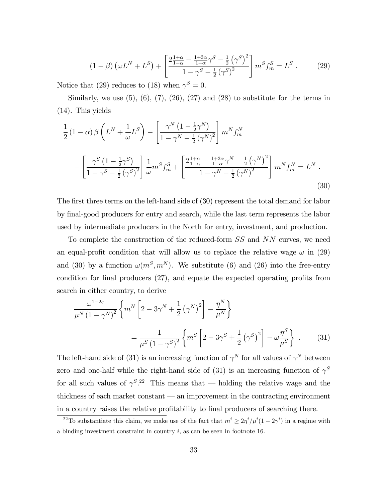$$
(1 - \beta)\left(\omega L^N + L^S\right) + \left[\frac{2\frac{1+\alpha}{1-\alpha} - \frac{1+3\alpha}{1-\alpha}\gamma^S - \frac{1}{2}\left(\gamma^S\right)^2}{1 - \gamma^S - \frac{1}{2}\left(\gamma^S\right)^2}\right] m^S f_m^S = L^S \tag{29}
$$

Notice that (29) reduces to (18) when  $\gamma^S = 0$ .

Similarly, we use  $(5)$ ,  $(6)$ ,  $(7)$ ,  $(26)$ ,  $(27)$  and  $(28)$  to substitute for the terms in (14). This yields

$$
\frac{1}{2}\left(1-\alpha\right)\beta\left(L^{N}+\frac{1}{\omega}L^{S}\right)-\left[\frac{\gamma^{N}\left(1-\frac{1}{2}\gamma^{N}\right)}{1-\gamma^{N}-\frac{1}{2}\left(\gamma^{N}\right)^{2}}\right]m^{N}f_{m}^{N}
$$
\n
$$
-\left[\frac{\gamma^{S}\left(1-\frac{1}{2}\gamma^{S}\right)}{1-\gamma^{S}-\frac{1}{2}\left(\gamma^{S}\right)^{2}}\right]\frac{1}{\omega}m^{S}f_{m}^{S}+\left[\frac{2\frac{1+\alpha}{1-\alpha}-\frac{1+3\alpha}{1-\alpha}\gamma^{N}-\frac{1}{2}\left(\gamma^{N}\right)^{2}}{1-\gamma^{N}-\frac{1}{2}\left(\gamma^{N}\right)^{2}}\right]m^{N}f_{m}^{N}=L^{N}.
$$
\n(30)

The first three terms on the left-hand side of (30) represent the total demand for labor by final-good producers for entry and search, while the last term represents the labor used by intermediate producers in the North for entry, investment, and production.

To complete the construction of the reduced-form SS and NN curves, we need an equal-profit condition that will allow us to replace the relative wage  $\omega$  in (29) and (30) by a function  $\omega(m^S, m^N)$ . We substitute (6) and (26) into the free-entry condition for final producers (27), and equate the expected operating profits from search in either country, to derive

$$
\frac{\omega^{1-2\varepsilon}}{\mu^N (1 - \gamma^N)^2} \left\{ m^N \left[ 2 - 3\gamma^N + \frac{1}{2} (\gamma^N)^2 \right] - \frac{\eta^N}{\mu^N} \right\}
$$

$$
= \frac{1}{\mu^S (1 - \gamma^S)^2} \left\{ m^S \left[ 2 - 3\gamma^S + \frac{1}{2} (\gamma^S)^2 \right] - \omega \frac{\eta^S}{\mu^S} \right\} . \tag{31}
$$

The left-hand side of (31) is an increasing function of  $\gamma^N$  for all values of  $\gamma^N$  between zero and one-half while the right-hand side of (31) is an increasing function of  $\gamma^S$ for all such values of  $\gamma^{S}$ .<sup>22</sup> This means that — holding the relative wage and the thickness of each market constant – an improvement in the contracting environment in a country raises the relative profitability to final producers of searching there.

<sup>&</sup>lt;sup>22</sup>To substantiate this claim, we make use of the fact that  $m^i \geq 2\eta^i/\mu^i(1-2\gamma^i)$  in a regime with a binding investment constraint in country i, as can be seen in footnote 16.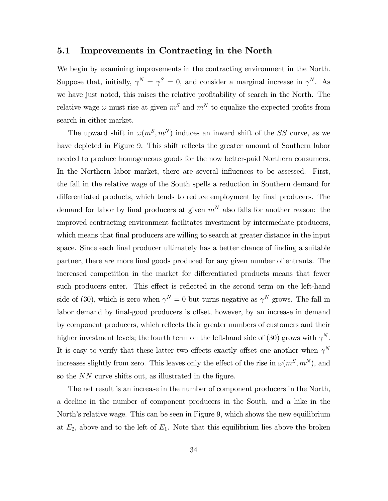#### 5.1 Improvements in Contracting in the North

We begin by examining improvements in the contracting environment in the North. Suppose that, initially,  $\gamma^N = \gamma^S = 0$ , and consider a marginal increase in  $\gamma^N$ . As we have just noted, this raises the relative profitability of search in the North. The relative wage  $\omega$  must rise at given  $m<sup>S</sup>$  and  $m<sup>N</sup>$  to equalize the expected profits from search in either market.

The upward shift in  $\omega(m^S, m^N)$  induces an inward shift of the SS curve, as we have depicted in Figure 9. This shift reflects the greater amount of Southern labor needed to produce homogeneous goods for the now better-paid Northern consumers. In the Northern labor market, there are several influences to be assessed. First, the fall in the relative wage of the South spells a reduction in Southern demand for differentiated products, which tends to reduce employment by final producers. The demand for labor by final producers at given  $m^N$  also falls for another reason: the improved contracting environment facilitates investment by intermediate producers, which means that final producers are willing to search at greater distance in the input space. Since each final producer ultimately has a better chance of finding a suitable partner, there are more final goods produced for any given number of entrants. The increased competition in the market for differentiated products means that fewer such producers enter. This effect is reflected in the second term on the left-hand side of (30), which is zero when  $\gamma^{N} = 0$  but turns negative as  $\gamma^{N}$  grows. The fall in labor demand by final-good producers is offset, however, by an increase in demand by component producers, which reflects their greater numbers of customers and their higher investment levels; the fourth term on the left-hand side of (30) grows with  $\gamma^N$ . It is easy to verify that these latter two effects exactly offset one another when  $\gamma^N$ increases slightly from zero. This leaves only the effect of the rise in  $\omega(m^S, m^N)$ , and so the NN curve shifts out, as illustrated in the figure.

The net result is an increase in the number of component producers in the North, a decline in the number of component producers in the South, and a hike in the North's relative wage. This can be seen in Figure 9, which shows the new equilibrium at  $E_2$ , above and to the left of  $E_1$ . Note that this equilibrium lies above the broken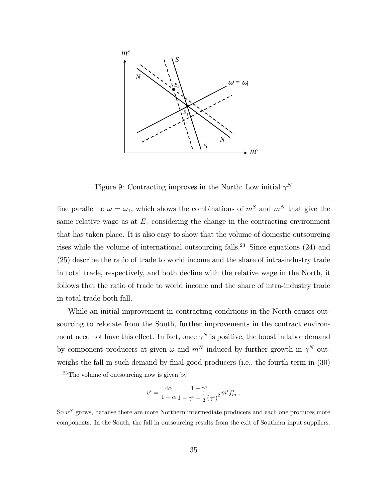

Figure 9: Contracting improves in the North: Low initial  $\gamma^N$ 

line parallel to  $\omega = \omega_1$ , which shows the combinations of  $m^S$  and  $m^N$  that give the same relative wage as at  $E_1$  considering the change in the contracting environment that has taken place. It is also easy to show that the volume of domestic outsourcing rises while the volume of international outsourcing falls.<sup>23</sup> Since equations  $(24)$  and (25) describe the ratio of trade to world income and the share of intra-industry trade in total trade, respectively, and both decline with the relative wage in the North, it follows that the ratio of trade to world income and the share of intra-industry trade in total trade both fall.

While an initial improvement in contracting conditions in the North causes outsourcing to relocate from the South, further improvements in the contract environment need not have this effect. In fact, once  $\gamma^N$  is positive, the boost in labor demand by component producers at given  $\omega$  and  $m^N$  induced by further growth in  $\gamma^N$  outweighs the fall in such demand by final-good producers (i.e., the fourth term in (30)

$$
v^{i} = \frac{4\alpha}{1-\alpha} \frac{1-\gamma^{i}}{1-\gamma^{i}-\frac{1}{2}(\gamma^{i})^{2}} m^{i} f_{m}^{i} .
$$

 $23$ The volume of outsourcing now is given by

So  $v^N$  grows, because there are more Northern intermediate producers and each one produces more components. In the South, the fall in outsourcing results from the exit of Southern input suppliers.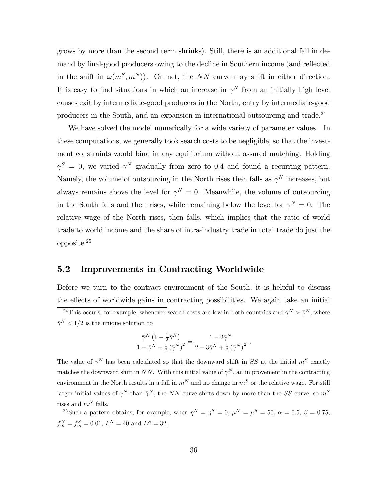grows by more than the second term shrinks). Still, there is an additional fall in demand by final-good producers owing to the decline in Southern income (and reflected in the shift in  $\omega(m^S, m^N)$ . On net, the NN curve may shift in either direction. It is easy to find situations in which an increase in  $\gamma^N$  from an initially high level causes exit by intermediate-good producers in the North, entry by intermediate-good producers in the South, and an expansion in international outsourcing and trade.<sup>24</sup>

We have solved the model numerically for a wide variety of parameter values. In these computations, we generally took search costs to be negligible, so that the investment constraints would bind in any equilibrium without assured matching. Holding  $\gamma^{S} = 0$ , we varied  $\gamma^{N}$  gradually from zero to 0.4 and found a recurring pattern. Namely, the volume of outsourcing in the North rises then falls as  $\gamma^N$  increases, but always remains above the level for  $\gamma^N = 0$ . Meanwhile, the volume of outsourcing in the South falls and then rises, while remaining below the level for  $\gamma^N = 0$ . The relative wage of the North rises, then falls, which implies that the ratio of world trade to world income and the share of intra-industry trade in total trade do just the opposite.25

## 5.2 Improvements in Contracting Worldwide

Before we turn to the contract environment of the South, it is helpful to discuss the effects of worldwide gains in contracting possibilities. We again take an initial

<sup>24</sup>This occurs, for example, whenever search costs are low in both countries and  $\gamma^N > \bar{\gamma}^N$ , where  $\bar{\gamma}^N < 1/2$  is the unique solution to

$$
\frac{\bar{\gamma}^N \left(1 - \frac{1}{2} \bar{\gamma}^N\right)}{1 - \bar{\gamma}^N - \frac{1}{2} \left(\bar{\gamma}^N\right)^2} = \frac{1 - 2 \bar{\gamma}^N}{2 - 3 \bar{\gamma}^N + \frac{1}{2} \left(\bar{\gamma}^N\right)^2}.
$$

The value of  $\bar{\gamma}^N$  has been calculated so that the downward shift in SS at the initial  $m^S$  exactly matches the downward shift in NN. With this initial value of  $\gamma^N$ , an improvement in the contracting environment in the North results in a fall in  $m^N$  and no change in  $m^S$  or the relative wage. For still larger initial values of  $\gamma^N$  than  $\bar{\gamma}^N$ , the NN curve shifts down by more than the SS curve, so  $m^S$ rises and  $m^N$  falls.

<sup>25</sup>Such a pattern obtains, for example, when  $\eta^N = \eta^S = 0$ ,  $\mu^N = \mu^S = 50$ ,  $\alpha = 0.5$ ,  $\beta = 0.75$ ,  $f_m^N = f_m^S = 0.01, L^N = 40 \text{ and } L^S = 32.$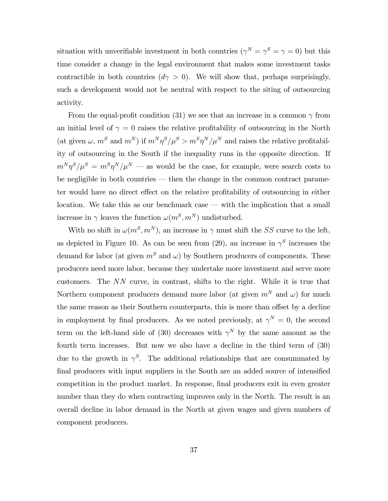situation with unverifiable investment in both countries ( $\gamma^N = \gamma^S = \gamma = 0$ ) but this time consider a change in the legal environment that makes some investment tasks contractible in both countries  $(d\gamma > 0)$ . We will show that, perhaps surprisingly, such a development would not be neutral with respect to the siting of outsourcing activity.

From the equal-profit condition (31) we see that an increase in a common  $\gamma$  from an initial level of  $\gamma = 0$  raises the relative profitability of outsourcing in the North (at given  $\omega$ ,  $m^S$  and  $m^N$ ) if  $m^N \eta^S / \mu^S > m^S \eta^N / \mu^N$  and raises the relative profitability of outsourcing in the South if the inequality runs in the opposite direction. If  $m^N \eta^S / \mu^S = m^S \eta^N / \mu^N$  — as would be the case, for example, were search costs to be negligible in both countries – then the change in the common contract parameter would have no direct effect on the relative profitability of outsourcing in either location. We take this as our benchmark case – with the implication that a small increase in  $\gamma$  leaves the function  $\omega(m^S, m^N)$  undisturbed.

With no shift in  $\omega(m^S, m^N)$ , an increase in  $\gamma$  must shift the SS curve to the left, as depicted in Figure 10. As can be seen from (29), an increase in  $\gamma^S$  increases the demand for labor (at given  $m<sup>S</sup>$  and  $\omega$ ) by Southern producers of components. These producers need more labor, because they undertake more investment and serve more customers. The NN curve, in contrast, shifts to the right. While it is true that Northern component producers demand more labor (at given  $m^N$  and  $\omega$ ) for much the same reason as their Southern counterparts, this is more than offset by a decline in employment by final producers. As we noted previously, at  $\gamma^N = 0$ , the second term on the left-hand side of (30) decreases with  $\gamma^N$  by the same amount as the fourth term increases. But now we also have a decline in the third term of (30) due to the growth in  $\gamma^S$ . The additional relationships that are consummated by final producers with input suppliers in the South are an added source of intensified competition in the product market. In response, final producers exit in even greater number than they do when contracting improves only in the North. The result is an overall decline in labor demand in the North at given wages and given numbers of component producers.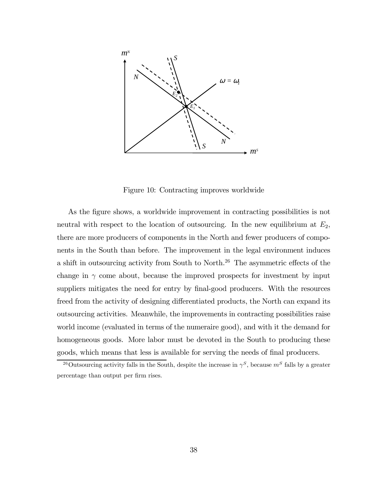

Figure 10: Contracting improves worldwide

As the figure shows, a worldwide improvement in contracting possibilities is not neutral with respect to the location of outsourcing. In the new equilibrium at  $E_2$ , there are more producers of components in the North and fewer producers of components in the South than before. The improvement in the legal environment induces a shift in outsourcing activity from South to North.<sup>26</sup> The asymmetric effects of the change in  $\gamma$  come about, because the improved prospects for investment by input suppliers mitigates the need for entry by final-good producers. With the resources freed from the activity of designing differentiated products, the North can expand its outsourcing activities. Meanwhile, the improvements in contracting possibilities raise world income (evaluated in terms of the numeraire good), and with it the demand for homogeneous goods. More labor must be devoted in the South to producing these goods, which means that less is available for serving the needs of final producers.

<sup>&</sup>lt;sup>26</sup>Outsourcing activity falls in the South, despite the increase in  $\gamma^S$ , because  $m^S$  falls by a greater percentage than output per firm rises.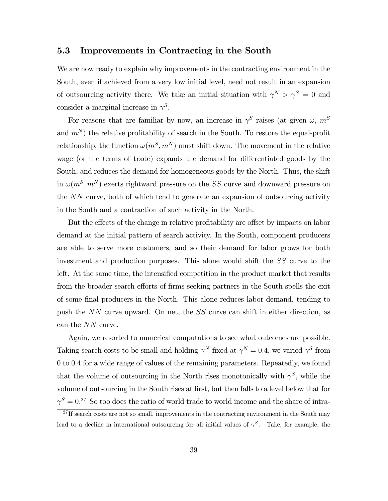#### 5.3 Improvements in Contracting in the South

We are now ready to explain why improvements in the contracting environment in the South, even if achieved from a very low initial level, need not result in an expansion of outsourcing activity there. We take an initial situation with  $\gamma^N > \gamma^S = 0$  and consider a marginal increase in  $\gamma^S$ .

For reasons that are familiar by now, an increase in  $\gamma^S$  raises (at given  $\omega$ ,  $m^S$ and  $m^N$ ) the relative profitability of search in the South. To restore the equal-profit relationship, the function  $\omega(m^S, m^N)$  must shift down. The movement in the relative wage (or the terms of trade) expands the demand for differentiated goods by the South, and reduces the demand for homogeneous goods by the North. Thus, the shift in  $\omega(m^S, m^N)$  exerts rightward pressure on the SS curve and downward pressure on the NN curve, both of which tend to generate an expansion of outsourcing activity in the South and a contraction of such activity in the North.

But the effects of the change in relative profitability are offset by impacts on labor demand at the initial pattern of search activity. In the South, component producers are able to serve more customers, and so their demand for labor grows for both investment and production purposes. This alone would shift the SS curve to the left. At the same time, the intensified competition in the product market that results from the broader search efforts of firms seeking partners in the South spells the exit of some final producers in the North. This alone reduces labor demand, tending to push the NN curve upward. On net, the SS curve can shift in either direction, as can the NN curve.

Again, we resorted to numerical computations to see what outcomes are possible. Taking search costs to be small and holding  $\gamma^N$  fixed at  $\gamma^N = 0.4$ , we varied  $\gamma^S$  from 0 to 0.4 for a wide range of values of the remaining parameters. Repeatedly, we found that the volume of outsourcing in the North rises monotonically with  $\gamma^S$ , while the volume of outsourcing in the South rises at first, but then falls to a level below that for  $\gamma^S = 0.^{27}$  So too does the ratio of world trade to world income and the share of intra-

 $^{27}$  If search costs are not so small, improvements in the contracting environment in the South may lead to a decline in international outsourcing for all initial values of  $\gamma^S$ . Take, for example, the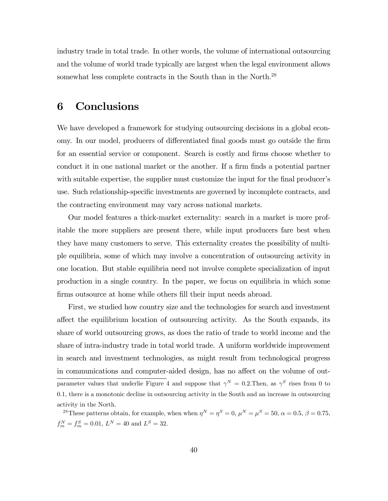industry trade in total trade. In other words, the volume of international outsourcing and the volume of world trade typically are largest when the legal environment allows somewhat less complete contracts in the South than in the North.<sup>28</sup>

# 6 Conclusions

We have developed a framework for studying outsourcing decisions in a global economy. In our model, producers of differentiated final goods must go outside the firm for an essential service or component. Search is costly and firms choose whether to conduct it in one national market or the another. If a firm finds a potential partner with suitable expertise, the supplier must customize the input for the final producer's use. Such relationship-specific investments are governed by incomplete contracts, and the contracting environment may vary across national markets.

Our model features a thick-market externality: search in a market is more profitable the more suppliers are present there, while input producers fare best when they have many customers to serve. This externality creates the possibility of multiple equilibria, some of which may involve a concentration of outsourcing activity in one location. But stable equilibria need not involve complete specialization of input production in a single country. In the paper, we focus on equilibria in which some firms outsource at home while others fill their input needs abroad.

First, we studied how country size and the technologies for search and investment affect the equilibrium location of outsourcing activity. As the South expands, its share of world outsourcing grows, as does the ratio of trade to world income and the share of intra-industry trade in total world trade. A uniform worldwide improvement in search and investment technologies, as might result from technological progress in communications and computer-aided design, has no affect on the volume of outparameter values that underlie Figure 4 and suppose that  $\gamma^{N} = 0.2$ . Then, as  $\gamma^{S}$  rises from 0 to 0.1, there is a monotonic decline in outsourcing activity in the South and an increase in outsourcing activity in the North.

<sup>28</sup>These patterns obtain, for example, when when  $\eta^N = \eta^S = 0$ ,  $\mu^N = \mu^S = 50$ ,  $\alpha = 0.5$ ,  $\beta = 0.75$ ,  $f_m^N = f_m^S = 0.01, L^N = 40 \text{ and } L^S = 32.$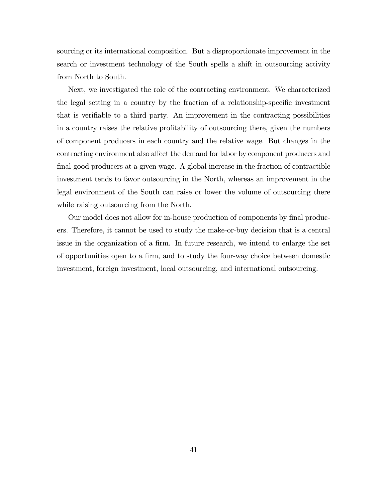sourcing or its international composition. But a disproportionate improvement in the search or investment technology of the South spells a shift in outsourcing activity from North to South.

Next, we investigated the role of the contracting environment. We characterized the legal setting in a country by the fraction of a relationship-specific investment that is verifiable to a third party. An improvement in the contracting possibilities in a country raises the relative profitability of outsourcing there, given the numbers of component producers in each country and the relative wage. But changes in the contracting environment also affect the demand for labor by component producers and final-good producers at a given wage. A global increase in the fraction of contractible investment tends to favor outsourcing in the North, whereas an improvement in the legal environment of the South can raise or lower the volume of outsourcing there while raising outsourcing from the North.

Our model does not allow for in-house production of components by final producers. Therefore, it cannot be used to study the make-or-buy decision that is a central issue in the organization of a firm. In future research, we intend to enlarge the set of opportunities open to a firm, and to study the four-way choice between domestic investment, foreign investment, local outsourcing, and international outsourcing.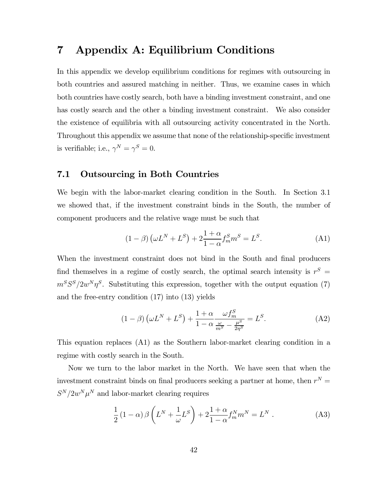## 7 Appendix A: Equilibrium Conditions

In this appendix we develop equilibrium conditions for regimes with outsourcing in both countries and assured matching in neither. Thus, we examine cases in which both countries have costly search, both have a binding investment constraint, and one has costly search and the other a binding investment constraint. We also consider the existence of equilibria with all outsourcing activity concentrated in the North. Throughout this appendix we assume that none of the relationship-specific investment is verifiable; i.e.,  $\gamma^N = \gamma^S = 0$ .

### 7.1 Outsourcing in Both Countries

We begin with the labor-market clearing condition in the South. In Section 3.1 we showed that, if the investment constraint binds in the South, the number of component producers and the relative wage must be such that

$$
(1 - \beta)\left(\omega L^N + L^S\right) + 2\frac{1 + \alpha}{1 - \alpha} f_m^S m^S = L^S.
$$
\n(A1)

When the investment constraint does not bind in the South and final producers find themselves in a regime of costly search, the optimal search intensity is  $r^S$  =  $m<sup>S</sup> S<sup>S</sup>/2w<sup>N</sup> \eta<sup>S</sup>$ . Substituting this expression, together with the output equation (7) and the free-entry condition (17) into (13) yields

$$
(1 - \beta) \left(\omega L^N + L^S\right) + \frac{1 + \alpha}{1 - \alpha} \frac{\omega f_m^S}{\frac{\omega}{m^S} - \frac{\mu^S}{2\eta^S}} = L^S. \tag{A2}
$$

This equation replaces (A1) as the Southern labor-market clearing condition in a regime with costly search in the South.

Now we turn to the labor market in the North. We have seen that when the investment constraint binds on final producers seeking a partner at home, then  $r^N =$  $S^N/2w^N\mu^N$  and labor-market clearing requires

$$
\frac{1}{2}(1-\alpha)\beta\left(L^N + \frac{1}{\omega}L^S\right) + 2\frac{1+\alpha}{1-\alpha}f_m^N m^N = L^N.
$$
 (A3)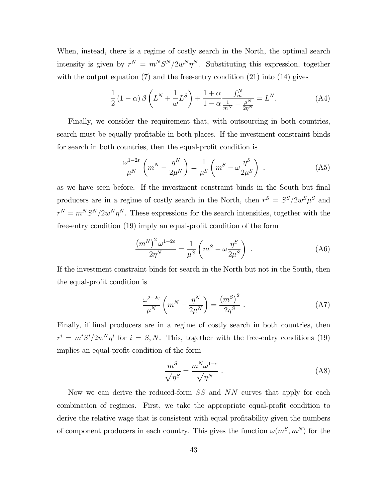When, instead, there is a regime of costly search in the North, the optimal search intensity is given by  $r^N = m^N S^N / 2w^N \eta^N$ . Substituting this expression, together with the output equation  $(7)$  and the free-entry condition  $(21)$  into  $(14)$  gives

$$
\frac{1}{2}\left(1-\alpha\right)\beta\left(L^N+\frac{1}{\omega}L^S\right)+\frac{1+\alpha}{1-\alpha}\frac{f_m^N}{\frac{1}{m^N}-\frac{\mu^N}{2\eta^N}}=L^N.\tag{A4}
$$

Finally, we consider the requirement that, with outsourcing in both countries, search must be equally profitable in both places. If the investment constraint binds for search in both countries, then the equal-profit condition is

$$
\frac{\omega^{1-2\varepsilon}}{\mu^N} \left( m^N - \frac{\eta^N}{2\mu^N} \right) = \frac{1}{\mu^S} \left( m^S - \omega \frac{\eta^S}{2\mu^S} \right) ,\qquad (A5)
$$

as we have seen before. If the investment constraint binds in the South but final producers are in a regime of costly search in the North, then  $r^S = S^S/2w^S \mu^S$  and  $r^N = m^N S^N/2w^N \eta^N$ . These expressions for the search intensities, together with the free-entry condition (19) imply an equal-profit condition of the form

$$
\frac{\left(m^N\right)^2 \omega^{1-2\varepsilon}}{2\eta^N} = \frac{1}{\mu^S} \left(m^S - \omega \frac{\eta^S}{2\mu^S}\right) . \tag{A6}
$$

If the investment constraint binds for search in the North but not in the South, then the equal-profit condition is

$$
\frac{\omega^{2-2\varepsilon}}{\mu^N} \left( m^N - \frac{\eta^N}{2\mu^N} \right) = \frac{\left( m^S \right)^2}{2\eta^S} . \tag{A7}
$$

Finally, if final producers are in a regime of costly search in both countries, then  $r^i = m^i S^i / 2 w^N \eta^i$  for  $i = S, N$ . This, together with the free-entry conditions (19) implies an equal-profit condition of the form

$$
\frac{m^S}{\sqrt{\eta^S}} = \frac{m^N \omega^{1-\varepsilon}}{\sqrt{\eta^N}} \ . \tag{A8}
$$

Now we can derive the reduced-form  $SS$  and NN curves that apply for each combination of regimes. First, we take the appropriate equal-profit condition to derive the relative wage that is consistent with equal profitability given the numbers of component producers in each country. This gives the function  $\omega(m^S, m^N)$  for the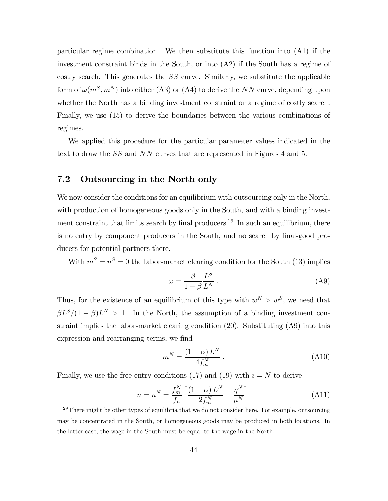particular regime combination. We then substitute this function into (A1) if the investment constraint binds in the South, or into (A2) if the South has a regime of costly search. This generates the SS curve. Similarly, we substitute the applicable form of  $\omega(m^S, m^N)$  into either (A3) or (A4) to derive the NN curve, depending upon whether the North has a binding investment constraint or a regime of costly search. Finally, we use (15) to derive the boundaries between the various combinations of regimes.

We applied this procedure for the particular parameter values indicated in the text to draw the SS and NN curves that are represented in Figures 4 and 5.

## 7.2 Outsourcing in the North only

We now consider the conditions for an equilibrium with outsourcing only in the North, with production of homogeneous goods only in the South, and with a binding investment constraint that limits search by final producers.<sup>29</sup> In such an equilibrium, there is no entry by component producers in the South, and no search by final-good producers for potential partners there.

With  $m<sup>S</sup> = n<sup>S</sup> = 0$  the labor-market clearing condition for the South (13) implies

$$
\omega = \frac{\beta}{1 - \beta} \frac{L^S}{L^N} \,. \tag{A9}
$$

Thus, for the existence of an equilibrium of this type with  $w^N > w^S$ , we need that  $\beta L^{S}/(1-\beta)L^{N} > 1$ . In the North, the assumption of a binding investment constraint implies the labor-market clearing condition (20). Substituting (A9) into this expression and rearranging terms, we find

$$
m^N = \frac{(1 - \alpha) L^N}{4f_m^N} \,. \tag{A10}
$$

Finally, we use the free-entry conditions (17) and (19) with  $i = N$  to derive

$$
n = n^N = \frac{f_m^N}{f_n} \left[ \frac{(1 - \alpha) L^N}{2f_m^N} - \frac{\eta^N}{\mu^N} \right]
$$
(A11)

 $29$ There might be other types of equilibria that we do not consider here. For example, outsourcing may be concentrated in the South, or homogeneous goods may be produced in both locations. In the latter case, the wage in the South must be equal to the wage in the North.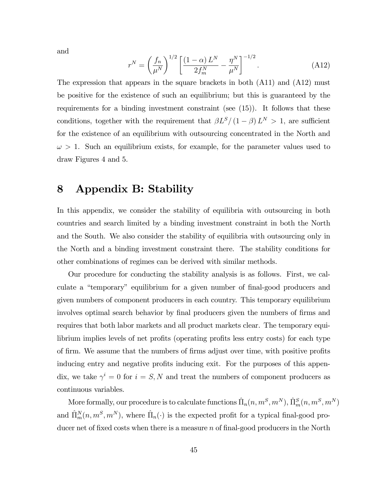and

$$
r^{N} = \left(\frac{f_n}{\mu^{N}}\right)^{1/2} \left[\frac{(1-\alpha) L^{N}}{2f_m^{N}} - \frac{\eta^{N}}{\mu^{N}}\right]^{-1/2}.
$$
 (A12)

The expression that appears in the square brackets in both (A11) and (A12) must be positive for the existence of such an equilibrium; but this is guaranteed by the requirements for a binding investment constraint (see (15)). It follows that these conditions, together with the requirement that  $\beta L^{S}/(1-\beta) L^{N} > 1$ , are sufficient for the existence of an equilibrium with outsourcing concentrated in the North and  $\omega > 1$ . Such an equilibrium exists, for example, for the parameter values used to draw Figures 4 and 5.

## 8 Appendix B: Stability

In this appendix, we consider the stability of equilibria with outsourcing in both countries and search limited by a binding investment constraint in both the North and the South. We also consider the stability of equilibria with outsourcing only in the North and a binding investment constraint there. The stability conditions for other combinations of regimes can be derived with similar methods.

Our procedure for conducting the stability analysis is as follows. First, we calculate a "temporary" equilibrium for a given number of final-good producers and given numbers of component producers in each country. This temporary equilibrium involves optimal search behavior by final producers given the numbers of firms and requires that both labor markets and all product markets clear. The temporary equilibrium implies levels of net profits (operating profits less entry costs) for each type of firm. We assume that the numbers of firms adjust over time, with positive profits inducing entry and negative profits inducing exit. For the purposes of this appendix, we take  $\gamma^i = 0$  for  $i = S, N$  and treat the numbers of component producers as continuous variables.

More formally, our procedure is to calculate functions  $\hat{\Pi}_n(n, m^S, m^N), \hat{\Pi}_m^S(n, m^S, m^N)$ and  $\hat{\Pi}_m^N(n, m^S, m^N)$ , where  $\hat{\Pi}_n(\cdot)$  is the expected profit for a typical final-good producer net of fixed costs when there is a measure n of final-good producers in the North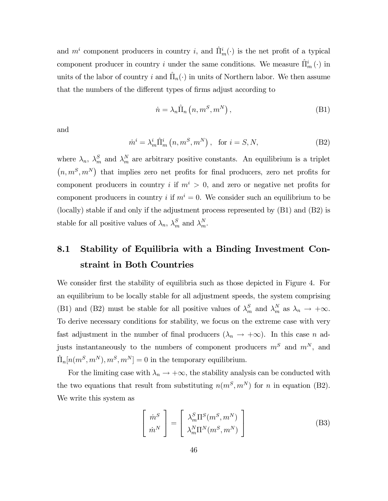and  $m^i$  component producers in country *i*, and  $\hat{\Pi}_m^i(\cdot)$  is the net profit of a typical component producer in country i under the same conditions. We measure  $\hat{\Pi}_{m}^{i}(\cdot)$  in units of the labor of country i and  $\hat{\Pi}_n(\cdot)$  in units of Northern labor. We then assume that the numbers of the different types of firms adjust according to

$$
\dot{n} = \lambda_n \hat{\Pi}_n \left( n, m^S, m^N \right),\tag{B1}
$$

and

$$
\dot{m}^i = \lambda_m^i \hat{\Pi}_m^i \left( n, m^S, m^N \right), \text{ for } i = S, N,
$$
\n(B2)

where  $\lambda_n$ ,  $\lambda_m^S$  and  $\lambda_m^N$  are arbitrary positive constants. An equilibrium is a triplet  $(n, m<sup>S</sup>, m<sup>N</sup>)$  that implies zero net profits for final producers, zero net profits for component producers in country i if  $m^i > 0$ , and zero or negative net profits for component producers in country i if  $m^i = 0$ . We consider such an equilibrium to be (locally) stable if and only if the adjustment process represented by (B1) and (B2) is stable for all positive values of  $\lambda_n$ ,  $\lambda_m^S$  and  $\lambda_m^N$ .

# 8.1 Stability of Equilibria with a Binding Investment Constraint in Both Countries

We consider first the stability of equilibria such as those depicted in Figure 4. For an equilibrium to be locally stable for all adjustment speeds, the system comprising (B1) and (B2) must be stable for all positive values of  $\lambda_m^S$  and  $\lambda_m^N$  as  $\lambda_n \to +\infty$ . To derive necessary conditions for stability, we focus on the extreme case with very fast adjustment in the number of final producers  $(\lambda_n \to +\infty)$ . In this case n adjusts instantaneously to the numbers of component producers  $m<sup>S</sup>$  and  $m<sup>N</sup>$ , and  $\hat{\Pi}_n[n(m^S, m^N), m^S, m^N] = 0$  in the temporary equilibrium.

For the limiting case with  $\lambda_n \to +\infty$ , the stability analysis can be conducted with the two equations that result from substituting  $n(m^S, m^N)$  for n in equation (B2). We write this system as

$$
\begin{bmatrix} \dot{m}^S\\ \dot{m}^N \end{bmatrix} = \begin{bmatrix} \lambda_m^S \Pi^S(m^S, m^N)\\ \lambda_m^N \Pi^N(m^S, m^N) \end{bmatrix}
$$
 (B3)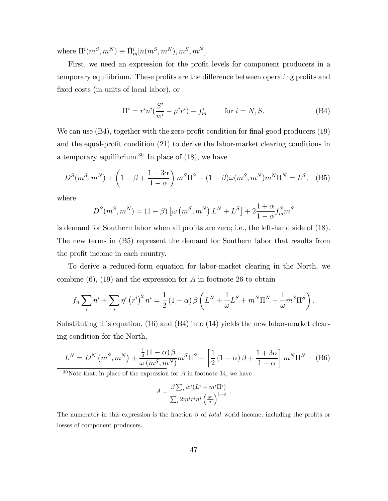where  $\Pi^{i}(m^S, m^N) \equiv \hat{\Pi}^{i}_{m}[n(m^S, m^N), m^S, m^N]$ .

First, we need an expression for the profit levels for component producers in a temporary equilibrium. These profits are the difference between operating profits and fixed costs (in units of local labor), or

$$
\Pi^{i} = r^{i} n^{i} \left( \frac{S^{i}}{w^{i}} - \mu^{i} r^{i} \right) - f_{m}^{i} \qquad \text{for } i = N, S. \tag{B4}
$$

We can use  $(B4)$ , together with the zero-profit condition for final-good producers  $(19)$ and the equal-profit condition (21) to derive the labor-market clearing conditions in a temporary equilibrium.<sup>30</sup> In place of  $(18)$ , we have

$$
D^{S}(m^{S}, m^{N}) + \left(1 - \beta + \frac{1 + 3\alpha}{1 - \alpha}\right) m^{S} \Pi^{S} + (1 - \beta)\omega(m^{S}, m^{N})m^{N}\Pi^{N} = L^{S}, \quad (B5)
$$

where

$$
D^{S}(m^{S}, m^{N}) = (1 - \beta) \left[ \omega \left( m^{S}, m^{N} \right) L^{N} + L^{S} \right] + 2 \frac{1 + \alpha}{1 - \alpha} f_{m}^{S} m^{S}
$$

is demand for Southern labor when all profits are zero; i.e., the left-hand side of (18). The new terms in (B5) represent the demand for Southern labor that results from the profit income in each country.

To derive a reduced-form equation for labor-market clearing in the North, we combine  $(6)$ ,  $(19)$  and the expression for A in footnote 26 to obtain

$$
f_n \sum_i n^i + \sum_i \eta^i (r^i)^2 n^i = \frac{1}{2} (1 - \alpha) \beta \left( L^N + \frac{1}{\omega} L^S + m^N \Pi^N + \frac{1}{\omega} m^S \Pi^S \right).
$$

Substituting this equation, (16) and (B4) into (14) yields the new labor-market clearing condition for the North,

$$
L^N = D^N \left( m^S, m^N \right) + \frac{\frac{1}{2} \left( 1 - \alpha \right) \beta}{\omega \left( m^S, m^N \right)} m^S \Pi^S + \left[ \frac{1}{2} \left( 1 - \alpha \right) \beta + \frac{1 + 3\alpha}{1 - \alpha} \right] m^N \Pi^N \tag{B6}
$$

 $30$ Note that, in place of the expression for A in footnote 14, we have

$$
A = \frac{\beta \sum_{i} w^{i} (L^{i} + m^{i} \Pi^{i})}{\sum_{i} 2m^{i} r^{i} n^{i} \left(\frac{w^{i}}{\alpha}\right)^{1-\varepsilon}}.
$$

The numerator in this expression is the fraction  $\beta$  of total world income, including the profits or losses of component producers.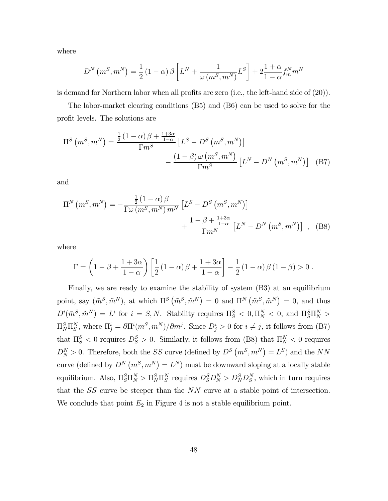where

$$
D^{N}\left(m^{S},m^{N}\right) = \frac{1}{2}\left(1-\alpha\right)\beta\left[L^{N} + \frac{1}{\omega\left(m^{S},m^{N}\right)}L^{S}\right] + 2\frac{1+\alpha}{1-\alpha}f_{m}^{N}m^{N}
$$

is demand for Northern labor when all profits are zero (i.e., the left-hand side of (20)).

The labor-market clearing conditions (B5) and (B6) can be used to solve for the profit levels. The solutions are

$$
\Pi^{S}\left(m^{S},m^{N}\right) = \frac{\frac{1}{2}\left(1-\alpha\right)\beta + \frac{1+3\alpha}{1-\alpha}\left[L^{S}-D^{S}\left(m^{S},m^{N}\right)\right]}{\Gamma m^{S}} - \frac{\left(1-\beta\right)\omega\left(m^{S},m^{N}\right)}{\Gamma m^{S}}\left[L^{N}-D^{N}\left(m^{S},m^{N}\right)\right]
$$
(B7)

and

$$
\Pi^{N}\left(m^{S}, m^{N}\right) = -\frac{\frac{1}{2}\left(1-\alpha\right)\beta}{\Gamma\omega\left(m^{S}, m^{N}\right)m^{N}} \left[L^{S} - D^{S}\left(m^{S}, m^{N}\right)\right] + \frac{1-\beta + \frac{1+3\alpha}{1-\alpha}}{\Gamma m^{N}} \left[L^{N} - D^{N}\left(m^{S}, m^{N}\right)\right] , \quad (B8)
$$

where

$$
\Gamma = \left(1 - \beta + \frac{1 + 3\alpha}{1 - \alpha}\right) \left[\frac{1}{2}\left(1 - \alpha\right)\beta + \frac{1 + 3\alpha}{1 - \alpha}\right] - \frac{1}{2}\left(1 - \alpha\right)\beta\left(1 - \beta\right) > 0.
$$

Finally, we are ready to examine the stability of system (B3) at an equilibrium point, say  $(\tilde{m}^S, \tilde{m}^N)$ , at which  $\Pi^S(\tilde{m}^S, \tilde{m}^N) = 0$  and  $\Pi^N(\tilde{m}^S, \tilde{m}^N) = 0$ , and thus  $D^{i}(\tilde{m}^{S},\tilde{m}^{N}) = L^{i}$  for  $i = S, N$ . Stability requires  $\Pi_{S}^{S} < 0, \Pi_{N}^{N} < 0$ , and  $\Pi_{S}^{S}\Pi_{N}^{N} > 0$  $\Pi_N^S \Pi_S^N$ , where  $\Pi_j^i = \partial \Pi^i(m^S, m^N) / \partial m^j$ . Since  $D_j^i > 0$  for  $i \neq j$ , it follows from (B7) that  $\Pi_S^S < 0$  requires  $D_S^S > 0$ . Similarly, it follows from (B8) that  $\Pi_N^N < 0$  requires  $D_N^N > 0$ . Therefore, both the *SS* curve (defined by  $D^S(m^S, m^N) = L^S$ ) and the *NN* curve (defined by  $D^N(m^S, m^N) = L^N$ ) must be downward sloping at a locally stable equilibrium. Also,  $\Pi_S^S \Pi_N^N > \Pi_N^S \Pi_S^N$  requires  $D_S^S D_N^N > D_N^S D_S^N$ , which in turn requires that the SS curve be steeper than the NN curve at a stable point of intersection. We conclude that point  $E_2$  in Figure 4 is not a stable equilibrium point.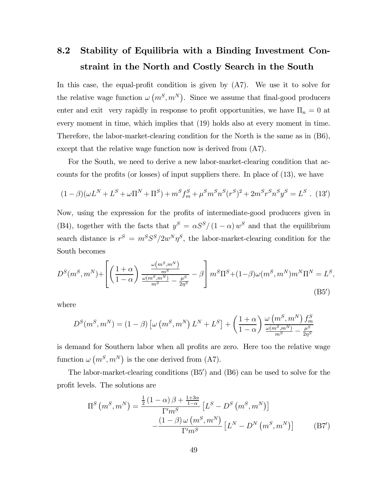# 8.2 Stability of Equilibria with a Binding Investment Constraint in the North and Costly Search in the South

In this case, the equal-profit condition is given by (A7). We use it to solve for the relative wage function  $\omega(m^S, m^N)$ . Since we assume that final-good producers enter and exit very rapidly in response to profit opportunities, we have  $\Pi_n = 0$  at every moment in time, which implies that (19) holds also at every moment in time. Therefore, the labor-market-clearing condition for the North is the same as in (B6), except that the relative wage function now is derived from (A7).

For the South, we need to derive a new labor-market-clearing condition that accounts for the profits (or losses) of input suppliers there. In place of (13), we have

$$
(1 - \beta)(\omega L^N + L^S + \omega \Pi^N + \Pi^S) + m^S f_m^S + \mu^S m^S n^S (r^S)^2 + 2m^S r^S n^S y^S = L^S
$$
 (13')

Now, using the expression for the profits of intermediate-good producers given in (B4), together with the facts that  $y^S = \alpha S^S/(1-\alpha) w^S$  and that the equilibrium search distance is  $r^S = m^S S^S / 2w^N \eta^S$ , the labor-market-clearing condition for the South becomes

$$
D^{S}(m^{S},m^{N}) + \left[ \left( \frac{1+\alpha}{1-\alpha} \right) \frac{\frac{\omega(m^{S},m^{N})}{m^{S}}}{\frac{\omega(m^{S},m^{N})}{m^{S}} - \frac{\mu^{S}}{2\eta^{S}}} - \beta \right] m^{S} \Pi^{S} + (1-\beta)\omega(m^{S},m^{N})m^{N}\Pi^{N} = L^{S}, \tag{B5'}
$$

where

$$
D^{S}(m^{S}, m^{N}) = (1 - \beta) \left[ \omega \left( m^{S}, m^{N} \right) L^{N} + L^{S} \right] + \left( \frac{1 + \alpha}{1 - \alpha} \right) \frac{\omega \left( m^{S}, m^{N} \right) f_{m}^{S}}{\frac{\omega \left( m^{S}, m^{N} \right)}{m^{S}} - \frac{\mu^{S}}{2\eta^{S}}}
$$

is demand for Southern labor when all profits are zero. Here too the relative wage function  $\omega(m^S, m^N)$  is the one derived from (A7).

The labor-market-clearing conditions  $(B5')$  and  $(B6)$  can be used to solve for the profit levels. The solutions are

$$
\Pi^{S}\left(m^{S}, m^{N}\right) = \frac{\frac{1}{2}\left(1-\alpha\right)\beta + \frac{1+3\alpha}{1-\alpha}\left[L^{S} - D^{S}\left(m^{S}, m^{N}\right)\right]}{\Gamma'm^{S}} \left[L^{N} - D^{N}\left(m^{S}, m^{N}\right)\right] - \frac{\left(1-\beta\right)\omega\left(m^{S}, m^{N}\right)}{\Gamma'm^{S}} \left[L^{N} - D^{N}\left(m^{S}, m^{N}\right)\right] \tag{B7'}
$$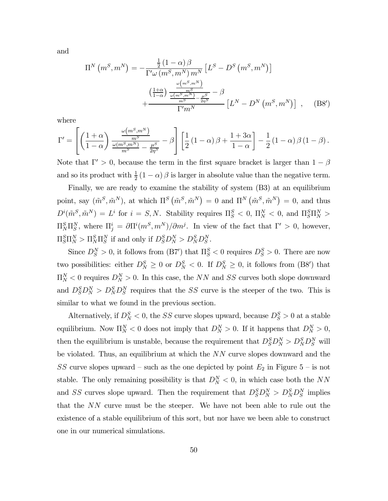and

$$
\Pi^{N}\left(m^{S}, m^{N}\right) = -\frac{\frac{1}{2}\left(1-\alpha\right)\beta}{\Gamma'\omega\left(m^{S}, m^{N}\right)m^{N}}\left[L^{S} - D^{S}\left(m^{S}, m^{N}\right)\right]
$$

$$
\frac{\left(\frac{1+\alpha}{1-\alpha}\right)\frac{\omega\left(m^{S}, m^{N}\right)}{\omega\left(m^{S}, m^{N}\right)} - \frac{\mu^{S}}{2\eta^{S}}}{\Gamma'\omega^{N}} - \beta\left[L^{N} - D^{N}\left(m^{S}, m^{N}\right)\right], \quad (B8')
$$

where

$$
\Gamma' = \left[ \left( \frac{1+\alpha}{1-\alpha} \right) \frac{\frac{\omega(m^S, m^N)}{m^S}}{\frac{\omega(m^S, m^N)}{m^S} - \frac{\mu^S}{2\eta^S}} - \beta \right] \left[ \frac{1}{2} (1-\alpha) \beta + \frac{1+3\alpha}{1-\alpha} \right] - \frac{1}{2} (1-\alpha) \beta (1-\beta).
$$

Note that  $\Gamma' > 0$ , because the term in the first square bracket is larger than  $1 - \beta$ and so its product with  $\frac{1}{2}(1-\alpha)\beta$  is larger in absolute value than the negative term.

Finally, we are ready to examine the stability of system (B3) at an equilibrium point, say  $(\tilde{m}^S, \tilde{m}^N)$ , at which  $\Pi^S(\tilde{m}^S, \tilde{m}^N) = 0$  and  $\Pi^N(\tilde{m}^S, \tilde{m}^N) = 0$ , and thus  $D^{i}(\tilde{m}^{S},\tilde{m}^{N}) = L^{i}$  for  $i = S, N$ . Stability requires  $\Pi_{S}^{S} < 0$ ,  $\Pi_{N}^{N} < 0$ , and  $\Pi_{S}^{S}\Pi_{N}^{N} > 0$  $\Pi_N^S \Pi_S^N$ , where  $\Pi_j^i = \partial \Pi^i(m^S, m^N) / \partial m^j$ . In view of the fact that  $\Gamma' > 0$ , however,  $\Pi_S^S \Pi_N^N > \Pi_N^S \Pi_S^N$  if and only if  $D_S^S D_N^N > D_N^S D_S^N$ .

Since  $D_S^N > 0$ , it follows from  $(B7')$  that  $\Pi_S^S < 0$  requires  $D_S^S > 0$ . There are now two possibilities: either  $D_N^S \geq 0$  or  $D_N^S < 0$ . If  $D_N^S \geq 0$ , it follows from (B8') that  $\Pi_N^N < 0$  requires  $D_N^N > 0$ . In this case, the NN and SS curves both slope downward and  $D_S^S D_N^N > D_N^S D_S^N$  requires that the SS curve is the steeper of the two. This is similar to what we found in the previous section.

Alternatively, if  $D_N^S < 0$ , the SS curve slopes upward, because  $D_S^S > 0$  at a stable equilibrium. Now  $\Pi_N^N < 0$  does not imply that  $D_N^N > 0$ . If it happens that  $D_N^N > 0$ , then the equilibrium is unstable, because the requirement that  $D_S^S D_N^N > D_N^S D_S^N$  will be violated. Thus, an equilibrium at which the NN curve slopes downward and the SS curve slopes upward – such as the one depicted by point  $E_2$  in Figure 5 – is not stable. The only remaining possibility is that  $D_N^N < 0$ , in which case both the NN and SS curves slope upward. Then the requirement that  $D_S^S D_N^N > D_N^S D_S^N$  implies that the NN curve must be the steeper. We have not been able to rule out the existence of a stable equilibrium of this sort, but nor have we been able to construct one in our numerical simulations.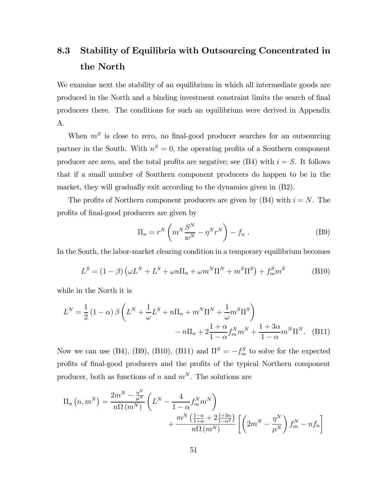# 8.3 Stability of Equilibria with Outsourcing Concentrated in the North

We examine next the stability of an equilibrium in which all intermediate goods are produced in the North and a binding investment constraint limits the search of final producers there. The conditions for such an equilibrium were derived in Appendix A.

When  $m<sup>S</sup>$  is close to zero, no final-good producer searches for an outsourcing partner in the South. With  $n<sup>S</sup> = 0$ , the operating profits of a Southern component producer are zero, and the total profits are negative; see (B4) with  $i = S$ . It follows that if a small number of Southern component producers do happen to be in the market, they will gradually exit according to the dynamics given in (B2).

The profits of Northern component producers are given by  $(B4)$  with  $i = N$ . The profits of final-good producers are given by

$$
\Pi_n = r^N \left( m^N \frac{S^N}{w^N} - \eta^N r^N \right) - f_n \tag{B9}
$$

In the South, the labor-market clearing condition in a temporary equilibrium becomes

$$
L^{S} = (1 - \beta) \left( \omega L^{N} + L^{S} + \omega n \Pi_{n} + \omega m^{N} \Pi^{N} + m^{S} \Pi^{S} \right) + f_{m}^{S} m^{S}
$$
(B10)

while in the North it is

$$
L^N = \frac{1}{2} \left( 1 - \alpha \right) \beta \left( L^N + \frac{1}{\omega} L^S + n \Pi_n + m^N \Pi^N + \frac{1}{\omega} m^S \Pi^S \right) - n \Pi_n + 2 \frac{1 + \alpha}{1 - \alpha} f_m^N m^N + \frac{1 + 3\alpha}{1 - \alpha} m^N \Pi^N. \tag{B11}
$$

Now we can use (B4), (B9), (B10), (B11) and  $\Pi^S = -f_m^S$  to solve for the expected profits of final-good producers and the profits of the typical Northern component producer, both as functions of n and  $m^N$ . The solutions are

$$
\Pi_n(n, m^N) = \frac{2m^N - \frac{\eta^N}{\mu^N}}{n\Omega(m^N)} \left( L^N - \frac{4}{1 - \alpha} f_m^N m^N \right) + \frac{m^N \left( \frac{1 - \alpha}{1 + \alpha} + 2 \frac{1 + 3\alpha}{1 - \alpha^2} \right)}{n\Omega(m^N)} \left[ \left( 2m^N - \frac{\eta^N}{\mu^N} \right) f_m^N - n f_n \right]
$$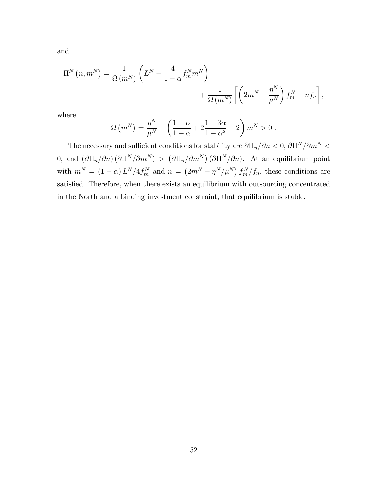and

$$
\Pi^{N}\left(n,m^{N}\right) = \frac{1}{\Omega\left(m^{N}\right)} \left(L^{N} - \frac{4}{1-\alpha} f_{m}^{N} m^{N}\right) + \frac{1}{\Omega\left(m^{N}\right)} \left[\left(2m^{N} - \frac{\eta^{N}}{\mu^{N}}\right) f_{m}^{N} - n f_{n}\right],
$$

where

$$
\Omega\left(m^N\right) = \frac{\eta^N}{\mu^N} + \left(\frac{1-\alpha}{1+\alpha} + 2\frac{1+3\alpha}{1-\alpha^2} - 2\right)m^N > 0.
$$

The necessary and sufficient conditions for stability are  $\partial\Pi_n/\partial n<0,$   $\partial\Pi^N/\partial m^N<$ 0, and  $(\partial \Pi_n/\partial n)(\partial \Pi^N/\partial m^N) > (\partial \Pi_n/\partial m^N) (\partial \Pi^N/\partial n)$ . At an equilibrium point with  $m^N = (1 - \alpha) L^N / 4f_m^N$  and  $n = (2m^N - \eta^N / \mu^N) f_m^N / f_n$ , these conditions are satisfied. Therefore, when there exists an equilibrium with outsourcing concentrated in the North and a binding investment constraint, that equilibrium is stable.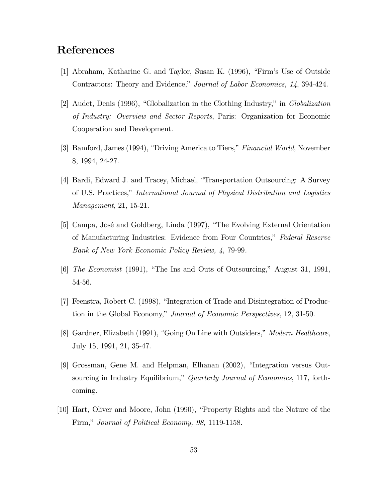# References

- [1] Abraham, Katharine G. and Taylor, Susan K. (1996), "Firm's Use of Outside Contractors: Theory and Evidence," Journal of Labor Economics, 14, 394-424.
- [2] Audet, Denis (1996), "Globalization in the Clothing Industry," in Globalization of Industry: Overview and Sector Reports, Paris: Organization for Economic Cooperation and Development.
- [3] Bamford, James (1994), "Driving America to Tiers," Financial World, November 8, 1994, 24-27.
- [4] Bardi, Edward J. and Tracey, Michael, "Transportation Outsourcing: A Survey of U.S. Practices," International Journal of Physical Distribution and Logistics Management, 21, 15-21.
- [5] Campa, José and Goldberg, Linda (1997), "The Evolving External Orientation of Manufacturing Industries: Evidence from Four Countries," Federal Reserve Bank of New York Economic Policy Review, 4, 79-99.
- [6] The Economist (1991), "The Ins and Outs of Outsourcing," August 31, 1991, 54-56.
- [7] Feenstra, Robert C. (1998), "Integration of Trade and Disintegration of Production in the Global Economy," Journal of Economic Perspectives, 12, 31-50.
- [8] Gardner, Elizabeth (1991), "Going On Line with Outsiders," Modern Healthcare, July 15, 1991, 21, 35-47.
- [9] Grossman, Gene M. and Helpman, Elhanan (2002), "Integration versus Outsourcing in Industry Equilibrium," Quarterly Journal of Economics, 117, forthcoming.
- [10] Hart, Oliver and Moore, John (1990), "Property Rights and the Nature of the Firm," Journal of Political Economy, 98, 1119-1158.